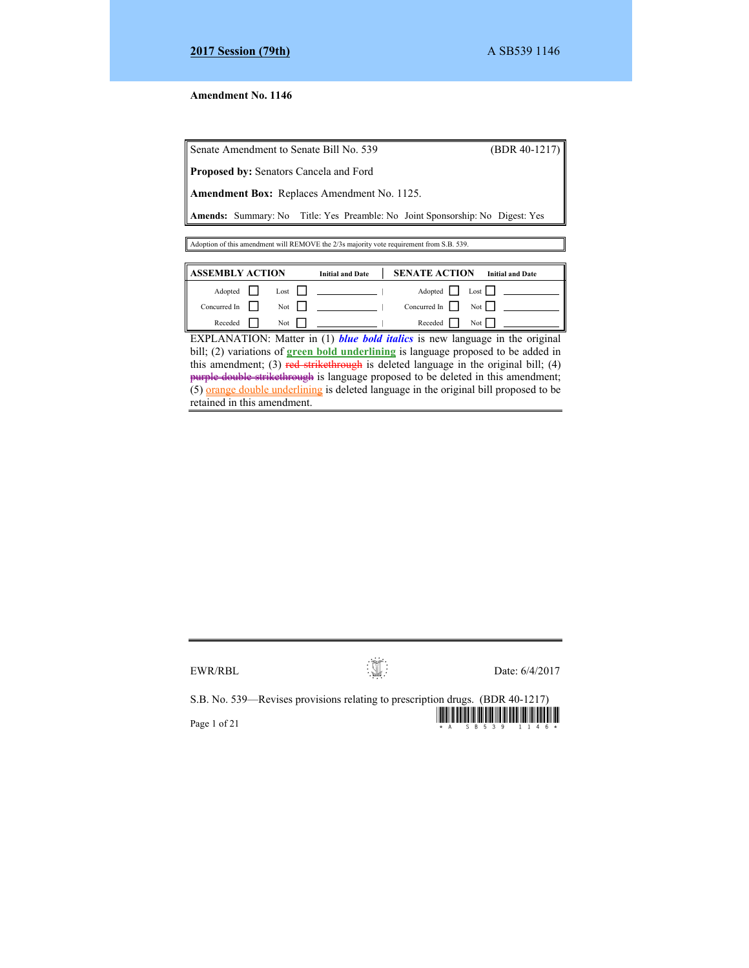## **Amendment No. 1146**

Senate Amendment to Senate Bill No. 539 (BDR 40-1217)

**Proposed by:** Senators Cancela and Ford

**Amendment Box:** Replaces Amendment No. 1125.

**Amends:** Summary: No Title: Yes Preamble: No Joint Sponsorship: No Digest: Yes

Adoption of this amendment will REMOVE the 2/3s majority vote requirement from S.B. 539.

| ASSEMBLY ACTION     |                    | <b>Initial and Date</b> | <b>SENATE ACTION</b> | <b>Initial and Date</b>                      |
|---------------------|--------------------|-------------------------|----------------------|----------------------------------------------|
| Adopted             | $\text{Last}$      |                         |                      | Adopted Lost                                 |
| Concurred In $\Box$ | Not $\vert \vert$  |                         |                      | Concurred In $\vert \vert$ Not $\vert \vert$ |
| Receded             | Not $\blacksquare$ |                         | Receded              | Not                                          |

EXPLANATION: Matter in (1) *blue bold italics* is new language in the original bill; (2) variations of **green bold underlining** is language proposed to be added in this amendment; (3) red strikethrough is deleted language in the original bill; (4) purple double strikethrough is language proposed to be deleted in this amendment;  $(5)$  orange double underlining is deleted language in the original bill proposed to be retained in this amendment.

S.B. No. 539—Revises provisions relating to prescription drugs. (BDR 40-1217)

Page 1 of 21  $\frac{1}{2}$  and  $\frac{1}{2}$  and  $\frac{1}{2}$  and  $\frac{1}{2}$  and  $\frac{1}{2}$  and  $\frac{1}{2}$  and  $\frac{1}{2}$  and  $\frac{1}{2}$  and  $\frac{1}{2}$  and  $\frac{1}{2}$  and  $\frac{1}{2}$  and  $\frac{1}{2}$  and  $\frac{1}{2}$  and  $\frac{1}{2}$  and  $\frac{1}{2}$  an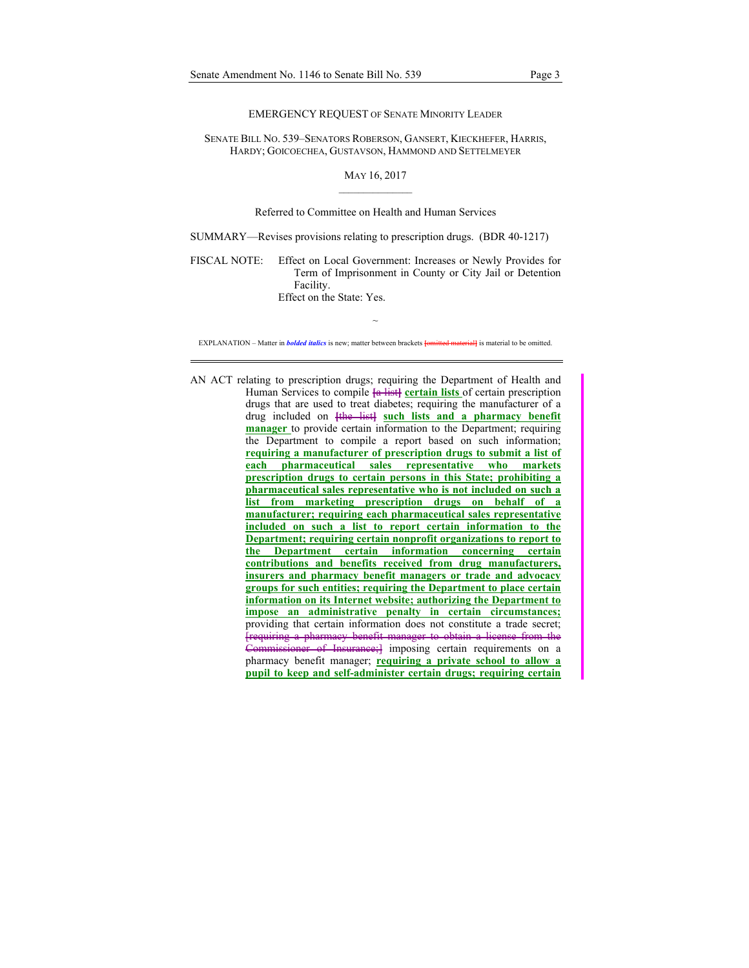#### EMERGENCY REQUEST OF SENATE MINORITY LEADER

SENATE BILL NO. 539–SENATORS ROBERSON, GANSERT, KIECKHEFER, HARRIS, HARDY; GOICOECHEA, GUSTAVSON, HAMMOND AND SETTELMEYER

### MAY 16, 2017  $\mathcal{L}=\mathcal{L}^{\mathcal{L}}$  , where  $\mathcal{L}^{\mathcal{L}}$

### Referred to Committee on Health and Human Services

SUMMARY—Revises provisions relating to prescription drugs. (BDR 40-1217)

FISCAL NOTE: Effect on Local Government: Increases or Newly Provides for Term of Imprisonment in County or City Jail or Detention Facility.

Effect on the State: Yes.

~ EXPLANATION – Matter in *bolded italics* is new; matter between brackets **[**omitted material**]** is material to be omitted.

AN ACT relating to prescription drugs; requiring the Department of Health and Human Services to compile  $\frac{2}{\pi}$  list certain lists of certain prescription drugs that are used to treat diabetes; requiring the manufacturer of a drug included on **[**the list**] such lists and a pharmacy benefit manager** to provide certain information to the Department; requiring the Department to compile a report based on such information; **requiring a manufacturer of prescription drugs to submit a list of each pharmaceutical sales representative who markets prescription drugs to certain persons in this State; prohibiting a pharmaceutical sales representative who is not included on such a list from marketing prescription drugs on behalf of a manufacturer; requiring each pharmaceutical sales representative included on such a list to report certain information to the Department; requiring certain nonprofit organizations to report to the Department certain information concerning certain contributions and benefits received from drug manufacturers, insurers and pharmacy benefit managers or trade and advocacy groups for such entities; requiring the Department to place certain information on its Internet website; authorizing the Department to impose an administrative penalty in certain circumstances;**  providing that certain information does not constitute a trade secret; [requiring a pharmacy benefit manager to obtain a license from the Commissioner of Insurance;] imposing certain requirements on a pharmacy benefit manager; **requiring a private school to allow a pupil to keep and self-administer certain drugs; requiring certain**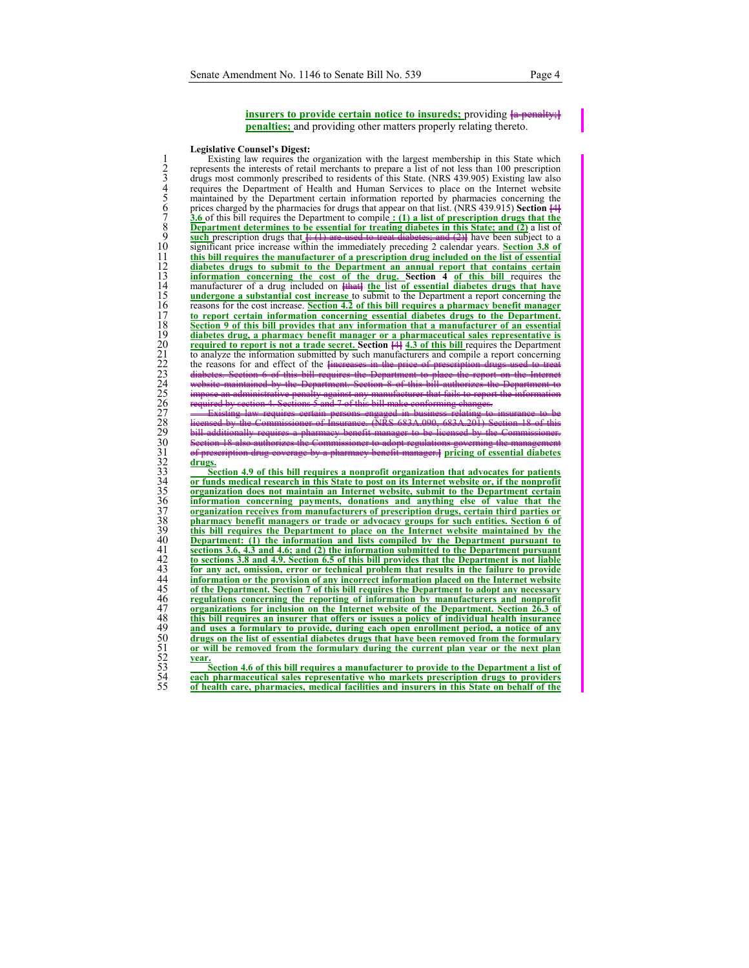**insurers to provide certain notice to insureds;** providing  $\frac{1}{2}$  penalty **penalties;** and providing other matters properly relating thereto.

#### **Legislative Counsel's Digest:**

<sup>1</sup> Existing law requires the organization with the largest membership in this State which<br>represents the interests of retail merchants to prepare a list of not less than 100 prescription<br>drugs most commonly prescribed to 2 represents the interests of retail merchants to prepare a list of not less than 100 prescription drugs most commonly prescribed to residents of this State. (NRS 439.905) Existing law also 4 requires the Department of Health and Human Services to place on the Internet website 5 maintained by the Department certain information reported by pharmacies concerning the prices charged by the pharmacies for drugs that appear on that list. (NRS 439.915) **Section [4**] 7 **3.6** of this bill requires the Department to compile **: (1) a list of prescription drugs that the Department determines to be essential for treating diabetes in this State; and (2)** a list of 9 **such** prescription drugs that  $\frac{f: (1)$  are used to treat diabetes; and  $(2)$ <sup>1</sup> have been subject to a significant price increase within the immediately preceding 2 calendar vears. **Section 3.8 of** 10 significant price increase within the immediately preceding 2 calendar years. **Section 3.8 of**  11 **this bill requires the manufacturer of a prescription drug included on the list of essential**  12 **diabetes drugs to submit to the Department an annual report that contains certain information concerning the cost of the drug. Section 4 of this bill requires the manufacturer of a drug included on**  $\frac{1}{2}$  **the list of essential diabetes drugs that have undergone a substantial cost increase to submit** manufacturer of a drug included on **<del>[that]</del>** the list of essential diabetes drugs that have 15 **undergone a substantial cost increase** to submit to the Department a report concerning the reasons for the cost increase. Section 4.2 of this bill requires a pharmacy benefit manager 16 **reasons for the cost increase**. **Section 4.2 of this bill requires a pharmacy benefit manager<br>17 <b>to report certain information concerning essential diabetes drugs to the Department.**<br>18 **Section 9 of this bill provide** to report certain information concerning essential diabetes drugs to the Department. **18 Section 9 of this bill provides that any information that a manufacturer of an essential diabetes drug, a pharmacy benefit manager or a pharmaceutical sales representative is** diabetes drug, a pharmacy benefit manager or a pharmaceutical sales representative is<br>
19 required to report is not a trade secret. Section  $\{44, 30$  frits bill requires the Department<br>
21 to analyze the information submi **20 required to report is not a trade secret. Section**  $[44]$  **<b>4.3 of this bill** requires the Department to analyze the information submitted by such manufacturers and compile a report concerning the reasons for and effect of the *increases* in the price of prescription drugs 23 diabetes. Section 6 of this bill requires the Department to place the report on the Internet 24 website maintained by the Department. Section 8 of this bill authorizes the Department to 25 impose an administrative penalty against any manufacturer that fails to report the information 26 required by section 4. Sections 5 and 7 of this bill make conforming changes. 27 **Existing law requires certain persons engaged in business relating to insurance to be** 28 licensed by the Commissioner of Insurance. (NRS 683A.090, 683A.201) Section 18 of this 29 bill additionally requires a pharmacy benefit manager to be licensed by the Commissioner. 30 Section 18 also authorizes the Commissioner to adopt regulations governing the management **Example 1** of essential diabetes drugs. 33 **Section 4.9 of this bill requires a nonprofit organization that advocates for patients**  34 **or funds medical research in this State to post on its Internet website or, if the nonprofit**  35 **organization does not maintain an Internet website, submit to the Department certain** 

information concerning payments, donations and anything else of value that the 37 **organization receives from manufacturers of prescription drugs, certain third parties or**  38 **pharmacy benefit managers or trade or advocacy groups for such entities. Section 6 of**  39 **this bill requires the Department to place on the Internet website maintained by the Department: (1) the information and lists compiled by the Department pursuant to**<br>41 **Sections 3.6, 4.3 and 4.6; and (2) the information submitted to the Department pursuant**<br>42 **to sections 3.8 and 4.9.** Section 6.5 of t 41 **sections 3.6, 4.3 and 4.6; and (2) the information submitted to the Department pursuant**  42 **to sections 3.8 and 4.9. Section 6.5 of this bill provides that the Department is not liable**  For any act, omission, error or technical problem that results in the failure to provide<br>
information or the provision of any incorrect information placed on the Internet website<br>
of the Department. Section 7 of this bill 44 **information or the provision of any incorrect information placed on the Internet website**  of the Department. Section 7 of this bill requires the Department to adopt any necessary regulations concerning the reporting of information by manufacturers and nonprofit 47 **organizations for inclusion on the Internet website of the Department. Section 26.3 of**  this bill requires an insurer that offers or issues a policy of individual health insurance<br>
49 and uses a formulary to provide, during each open enrollment period, a notice of any<br>
50 <u>drugs on the list of essential diabe</u> and uses a formulary to provide, during each open enrollment period, a notice of any 50 **drugs on the list of essential diabetes drugs that have been removed from the formulary**  51 **or will be removed from the formulary during the current plan year or the next plan**  year.

**<u>Section 4.6 of this bill requires a manufacturer to provide to the Department a list of</u>** 54 **each pharmaceutical sales representative who markets prescription drugs to providers**  55 **of health care, pharmacies, medical facilities and insurers in this State on behalf of the**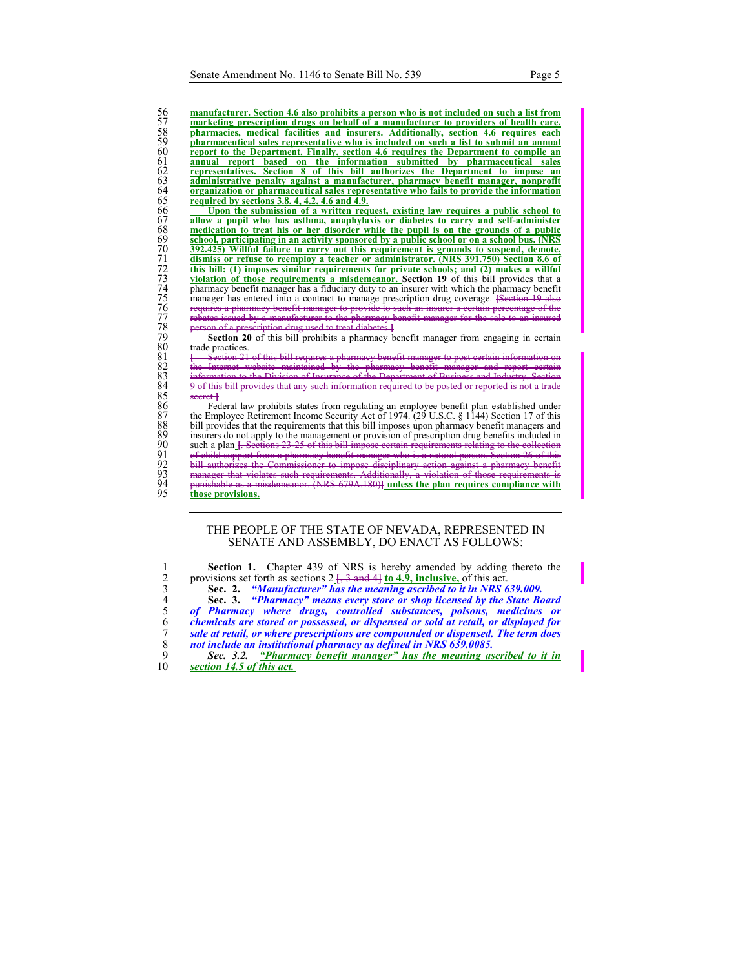**manufacturer. Section 4.6 also prohibits a person who is not included on such a list from marketing prescription drugs on behalf of a manufacturer to providers of health care,**<br>58 **pharmaceutical sales representative who is included on such a list to submit an annual pharmacies, medical facilities and insurers. Additionally, section 4.6 requires each pharmaceutical sales representative who is included on such a list to submit an annual report to the Department.** Finally, section 4.6 requires the Department to compile an <br>62 **representatives.** Section 8 of this bill authorizes the Department to impose an **annual report based on the information submitted by pharmaceutical sales representatives. Section 8 of this bill authorizes the Department to impose an administrative penalty against a manufacturer, pharmacy benefit manager, nonprofit or provide the information**<br>65 **and in the manufacturer of the information**<br>65 **and in the manufacturer of the information organization or pharmaceutical sales representative who fails to provide the information required by sections 3.8, 4, 4.2, 4.6 and 4.9.** 

From the submission of a written request, existing law requires a public school to allow a pupil who has asthma, anaphylaxis or diabetes to carry and self-administer medication to treat his or her disorder while the pupil 67 **allow a pupil who has asthma, anaphylaxis or diabetes to carry and self-administer**  68 **medication to treat his or her disorder while the pupil is on the grounds of a public**  school, participating in an activity sponsored by a public school or on a school bus. (NRS<br>
70 392.425) Willful failure to carry out this requirement is grounds to suspend, demote,<br>
71 dismiss or refuse to reemploy a teach 70 **392.425) Willful failure to carry out this requirement is grounds to suspend, demote,**  71 **dismiss or refuse to reemploy a teacher or administrator. (NRS 391.750) Section 8.6 of**  72 **this bill: (1) imposes similar requirements for private schools; and (2) makes a willful violation of those requirements a misdemeanor. Section 19** of this bill provides that a pharmacy benefit manager has a fiduciary duty to an insurer with which the pharmacy benefit manager has entered into a contract to manage prescription drug coverage. **[Section 19** 76 requires a pharmacy benefit manager to provide to such an insurer a certain percentage of the 77 rebates issued by a manufacturer to the pharmacy benefit manager for the sale to an insured used to treat diabetes.<sup>1</sup>

**Section 20** of this bill prohibits a pharmacy benefit manager from engaging in certain trade practices.

81 *i* Section 21 of this bill requires a pharmacy benefit manager to post certain information on 82 the Internet website maintained by the pharmacy benefit manager and report certain 83 information to the Division of Insurance of the Department of Business and Industry. Section of this bill provides that any such information required to be posted or reported

86 Federal law prohibits states from regulating an employee benefit plan established under the Employee Retirement Income Security Act of 1974. (29 U.S.C. § 1144) Section 17 of this 87 the Employee Retirement Income Security Act of 1974. ( $29 \text{ U.S.C.}$  § 1144) Section 17 of this<br>88 bill provides that the requirements that this bill imposes upon pharmacy benefit managers and<br>89 insurers do not apply to bill provides that the requirements that this bill imposes upon pharmacy benefit managers and insurers do not apply to the management or provision of prescription drug benefits included in 90 such a plan **[**. Sections 23-25 of this bill impose certain<br>
91 sill authorizes the Commissioner to impose discipline<br>
manager that violates such requirements. Additionally<br>
194 manager that violates such requirements. 91 of child support from a pharmacy benefit manager who is a natural person. Section 26 of this 92 bill authorizes the Commissioner to impose disciplinary action against a pharmacy benefit 93 manager that violates such requirements. Additionally, a violation of those requirements is **79A.180)** unless the plan requires compliance with 95 **those provisions.**

# THE PEOPLE OF THE STATE OF NEVADA, REPRESENTED IN SENATE AND ASSEMBLY, DO ENACT AS FOLLOWS:

|    | <b>Section 1.</b> Chapter 439 of NRS is hereby amended by adding thereto the          |
|----|---------------------------------------------------------------------------------------|
|    | provisions set forth as sections $2\frac{7}{2}$ and 4 to 4.9, inclusive, of this act. |
|    | Sec. 2. "Manufacturer" has the meaning ascribed to it in NRS 639.009.                 |
|    | Sec. 3. "Pharmacy" means every store or shop licensed by the State Board              |
|    | of Pharmacy where drugs, controlled substances, poisons, medicines or                 |
| 6  | chemicals are stored or possessed, or dispensed or sold at retail, or displayed for   |
|    | sale at retail, or where prescriptions are compounded or dispensed. The term does     |
|    | not include an institutional pharmacy as defined in NRS 639,0085.                     |
|    | Sec. 3.2. "Pharmacy benefit manager" has the meaning ascribed to it in                |
| 10 | section 14.5 of this act.                                                             |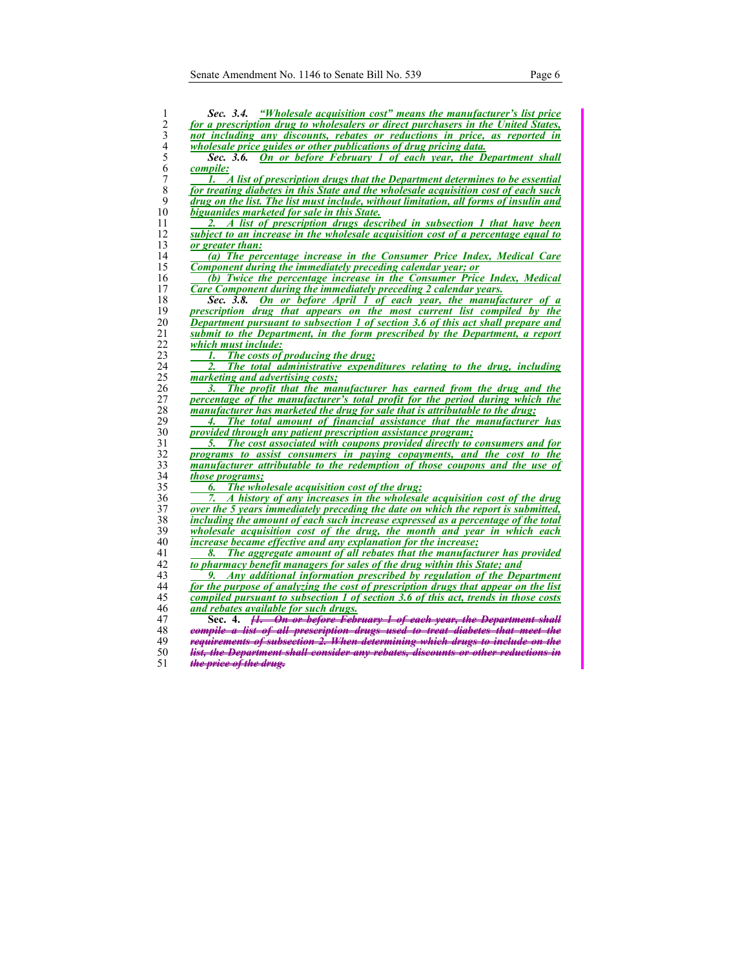| not including any discounts, rebates or reductions in price, as reported in<br>wholesale price guides or other publications of drug pricing data.<br>On or before February 1 of each year, the Department shall<br>Sec. 3.6.<br>compile:<br>1. A list of prescription drugs that the Department determines to be essential<br>for treating diabetes in this State and the wholesale acquisition cost of each such<br>drug on the list. The list must include, without limitation, all forms of insulin and<br>biguanides marketed for sale in this State.<br>A list of prescription drugs described in subsection 1 that have been<br>subject to an increase in the wholesale acquisition cost of a percentage equal to<br>or greater than:<br>(a) The percentage increase in the Consumer Price Index, Medical Care<br>Component during the immediately preceding calendar year; or<br>(b) Twice the percentage increase in the Consumer Price Index, Medical<br>Care Component during the immediately preceding 2 calendar years.<br>On or before April 1 of each year, the manufacturer of a<br>Sec. 3.8.<br>prescription drug that appears on the most current list compiled by the<br><b>Department pursuant to subsection 1 of section 3.6 of this act shall prepare and</b><br>submit to the Department, in the form prescribed by the Department, a report<br>which must include:<br>The costs of producing the drug;<br>1.<br>The total administrative expenditures relating to the drug, including<br>marketing and advertising costs:<br>The profit that the manufacturer has earned from the drug and the<br>3.<br>percentage of the manufacturer's total profit for the period during which the<br>manufacturer has marketed the drug for sale that is attributable to the drug;<br>The total amount of financial assistance that the manufacturer has<br>4.<br><i>provided through any patient prescription assistance program;</i><br>The cost associated with coupons provided directly to consumers and for<br>5.<br>programs to assist consumers in paying copayments, and the cost to the<br>manufacturer attributable to the redemption of those coupons and the use of<br><i>those programs;</i><br>The wholesale acquisition cost of the drug;<br>6.<br>A history of any increases in the wholesale acquisition cost of the drug<br>over the 5 years immediately preceding the date on which the report is submitted,<br>including the amount of each such increase expressed as a percentage of the total<br>wholesale acquisition cost of the drug, the month and year in which each<br><i>increase became effective and any explanation for the increase;</i><br>The aggregate amount of all rebates that the manufacturer has provided<br>8.<br>to pharmacy benefit managers for sales of the drug within this State; and<br>Any additional information prescribed by regulation of the Department<br>for the purpose of analyzing the cost of prescription drugs that appear on the list<br>compiled pursuant to subsection 1 of section 3.6 of this act, trends in those costs<br>and rebates available for such drugs.<br>[1. On or before February 1 of each year, the Department shall<br>Sec. 4.<br>compile a list of all prescription drugs used to treat diabetes that meet the<br>requirements of subsection 2. When determining which drugs to include on the | for a prescription drug to wholesalers or direct purchasers in the United States, |
|---------------------------------------------------------------------------------------------------------------------------------------------------------------------------------------------------------------------------------------------------------------------------------------------------------------------------------------------------------------------------------------------------------------------------------------------------------------------------------------------------------------------------------------------------------------------------------------------------------------------------------------------------------------------------------------------------------------------------------------------------------------------------------------------------------------------------------------------------------------------------------------------------------------------------------------------------------------------------------------------------------------------------------------------------------------------------------------------------------------------------------------------------------------------------------------------------------------------------------------------------------------------------------------------------------------------------------------------------------------------------------------------------------------------------------------------------------------------------------------------------------------------------------------------------------------------------------------------------------------------------------------------------------------------------------------------------------------------------------------------------------------------------------------------------------------------------------------------------------------------------------------------------------------------------------------------------------------------------------------------------------------------------------------------------------------------------------------------------------------------------------------------------------------------------------------------------------------------------------------------------------------------------------------------------------------------------------------------------------------------------------------------------------------------------------------------------------------------------------------------------------------------------------------------------------------------------------------------------------------------------------------------------------------------------------------------------------------------------------------------------------------------------------------------------------------------------------------------------------------------------------------------------------------------------------------------------------------------------------------------------------------------------------------------------------------------------------------------------------------------------------------------------------------------------------------------------------------------------------------------------------------------------------------------------------------------------------------------------------------------------------------------------|-----------------------------------------------------------------------------------|
|                                                                                                                                                                                                                                                                                                                                                                                                                                                                                                                                                                                                                                                                                                                                                                                                                                                                                                                                                                                                                                                                                                                                                                                                                                                                                                                                                                                                                                                                                                                                                                                                                                                                                                                                                                                                                                                                                                                                                                                                                                                                                                                                                                                                                                                                                                                                                                                                                                                                                                                                                                                                                                                                                                                                                                                                                                                                                                                                                                                                                                                                                                                                                                                                                                                                                                                                                                                                   |                                                                                   |
|                                                                                                                                                                                                                                                                                                                                                                                                                                                                                                                                                                                                                                                                                                                                                                                                                                                                                                                                                                                                                                                                                                                                                                                                                                                                                                                                                                                                                                                                                                                                                                                                                                                                                                                                                                                                                                                                                                                                                                                                                                                                                                                                                                                                                                                                                                                                                                                                                                                                                                                                                                                                                                                                                                                                                                                                                                                                                                                                                                                                                                                                                                                                                                                                                                                                                                                                                                                                   |                                                                                   |
|                                                                                                                                                                                                                                                                                                                                                                                                                                                                                                                                                                                                                                                                                                                                                                                                                                                                                                                                                                                                                                                                                                                                                                                                                                                                                                                                                                                                                                                                                                                                                                                                                                                                                                                                                                                                                                                                                                                                                                                                                                                                                                                                                                                                                                                                                                                                                                                                                                                                                                                                                                                                                                                                                                                                                                                                                                                                                                                                                                                                                                                                                                                                                                                                                                                                                                                                                                                                   |                                                                                   |
|                                                                                                                                                                                                                                                                                                                                                                                                                                                                                                                                                                                                                                                                                                                                                                                                                                                                                                                                                                                                                                                                                                                                                                                                                                                                                                                                                                                                                                                                                                                                                                                                                                                                                                                                                                                                                                                                                                                                                                                                                                                                                                                                                                                                                                                                                                                                                                                                                                                                                                                                                                                                                                                                                                                                                                                                                                                                                                                                                                                                                                                                                                                                                                                                                                                                                                                                                                                                   |                                                                                   |
|                                                                                                                                                                                                                                                                                                                                                                                                                                                                                                                                                                                                                                                                                                                                                                                                                                                                                                                                                                                                                                                                                                                                                                                                                                                                                                                                                                                                                                                                                                                                                                                                                                                                                                                                                                                                                                                                                                                                                                                                                                                                                                                                                                                                                                                                                                                                                                                                                                                                                                                                                                                                                                                                                                                                                                                                                                                                                                                                                                                                                                                                                                                                                                                                                                                                                                                                                                                                   |                                                                                   |
|                                                                                                                                                                                                                                                                                                                                                                                                                                                                                                                                                                                                                                                                                                                                                                                                                                                                                                                                                                                                                                                                                                                                                                                                                                                                                                                                                                                                                                                                                                                                                                                                                                                                                                                                                                                                                                                                                                                                                                                                                                                                                                                                                                                                                                                                                                                                                                                                                                                                                                                                                                                                                                                                                                                                                                                                                                                                                                                                                                                                                                                                                                                                                                                                                                                                                                                                                                                                   |                                                                                   |
|                                                                                                                                                                                                                                                                                                                                                                                                                                                                                                                                                                                                                                                                                                                                                                                                                                                                                                                                                                                                                                                                                                                                                                                                                                                                                                                                                                                                                                                                                                                                                                                                                                                                                                                                                                                                                                                                                                                                                                                                                                                                                                                                                                                                                                                                                                                                                                                                                                                                                                                                                                                                                                                                                                                                                                                                                                                                                                                                                                                                                                                                                                                                                                                                                                                                                                                                                                                                   |                                                                                   |
|                                                                                                                                                                                                                                                                                                                                                                                                                                                                                                                                                                                                                                                                                                                                                                                                                                                                                                                                                                                                                                                                                                                                                                                                                                                                                                                                                                                                                                                                                                                                                                                                                                                                                                                                                                                                                                                                                                                                                                                                                                                                                                                                                                                                                                                                                                                                                                                                                                                                                                                                                                                                                                                                                                                                                                                                                                                                                                                                                                                                                                                                                                                                                                                                                                                                                                                                                                                                   |                                                                                   |
|                                                                                                                                                                                                                                                                                                                                                                                                                                                                                                                                                                                                                                                                                                                                                                                                                                                                                                                                                                                                                                                                                                                                                                                                                                                                                                                                                                                                                                                                                                                                                                                                                                                                                                                                                                                                                                                                                                                                                                                                                                                                                                                                                                                                                                                                                                                                                                                                                                                                                                                                                                                                                                                                                                                                                                                                                                                                                                                                                                                                                                                                                                                                                                                                                                                                                                                                                                                                   |                                                                                   |
|                                                                                                                                                                                                                                                                                                                                                                                                                                                                                                                                                                                                                                                                                                                                                                                                                                                                                                                                                                                                                                                                                                                                                                                                                                                                                                                                                                                                                                                                                                                                                                                                                                                                                                                                                                                                                                                                                                                                                                                                                                                                                                                                                                                                                                                                                                                                                                                                                                                                                                                                                                                                                                                                                                                                                                                                                                                                                                                                                                                                                                                                                                                                                                                                                                                                                                                                                                                                   |                                                                                   |
|                                                                                                                                                                                                                                                                                                                                                                                                                                                                                                                                                                                                                                                                                                                                                                                                                                                                                                                                                                                                                                                                                                                                                                                                                                                                                                                                                                                                                                                                                                                                                                                                                                                                                                                                                                                                                                                                                                                                                                                                                                                                                                                                                                                                                                                                                                                                                                                                                                                                                                                                                                                                                                                                                                                                                                                                                                                                                                                                                                                                                                                                                                                                                                                                                                                                                                                                                                                                   |                                                                                   |
|                                                                                                                                                                                                                                                                                                                                                                                                                                                                                                                                                                                                                                                                                                                                                                                                                                                                                                                                                                                                                                                                                                                                                                                                                                                                                                                                                                                                                                                                                                                                                                                                                                                                                                                                                                                                                                                                                                                                                                                                                                                                                                                                                                                                                                                                                                                                                                                                                                                                                                                                                                                                                                                                                                                                                                                                                                                                                                                                                                                                                                                                                                                                                                                                                                                                                                                                                                                                   |                                                                                   |
|                                                                                                                                                                                                                                                                                                                                                                                                                                                                                                                                                                                                                                                                                                                                                                                                                                                                                                                                                                                                                                                                                                                                                                                                                                                                                                                                                                                                                                                                                                                                                                                                                                                                                                                                                                                                                                                                                                                                                                                                                                                                                                                                                                                                                                                                                                                                                                                                                                                                                                                                                                                                                                                                                                                                                                                                                                                                                                                                                                                                                                                                                                                                                                                                                                                                                                                                                                                                   |                                                                                   |
|                                                                                                                                                                                                                                                                                                                                                                                                                                                                                                                                                                                                                                                                                                                                                                                                                                                                                                                                                                                                                                                                                                                                                                                                                                                                                                                                                                                                                                                                                                                                                                                                                                                                                                                                                                                                                                                                                                                                                                                                                                                                                                                                                                                                                                                                                                                                                                                                                                                                                                                                                                                                                                                                                                                                                                                                                                                                                                                                                                                                                                                                                                                                                                                                                                                                                                                                                                                                   |                                                                                   |
|                                                                                                                                                                                                                                                                                                                                                                                                                                                                                                                                                                                                                                                                                                                                                                                                                                                                                                                                                                                                                                                                                                                                                                                                                                                                                                                                                                                                                                                                                                                                                                                                                                                                                                                                                                                                                                                                                                                                                                                                                                                                                                                                                                                                                                                                                                                                                                                                                                                                                                                                                                                                                                                                                                                                                                                                                                                                                                                                                                                                                                                                                                                                                                                                                                                                                                                                                                                                   |                                                                                   |
|                                                                                                                                                                                                                                                                                                                                                                                                                                                                                                                                                                                                                                                                                                                                                                                                                                                                                                                                                                                                                                                                                                                                                                                                                                                                                                                                                                                                                                                                                                                                                                                                                                                                                                                                                                                                                                                                                                                                                                                                                                                                                                                                                                                                                                                                                                                                                                                                                                                                                                                                                                                                                                                                                                                                                                                                                                                                                                                                                                                                                                                                                                                                                                                                                                                                                                                                                                                                   |                                                                                   |
|                                                                                                                                                                                                                                                                                                                                                                                                                                                                                                                                                                                                                                                                                                                                                                                                                                                                                                                                                                                                                                                                                                                                                                                                                                                                                                                                                                                                                                                                                                                                                                                                                                                                                                                                                                                                                                                                                                                                                                                                                                                                                                                                                                                                                                                                                                                                                                                                                                                                                                                                                                                                                                                                                                                                                                                                                                                                                                                                                                                                                                                                                                                                                                                                                                                                                                                                                                                                   |                                                                                   |
|                                                                                                                                                                                                                                                                                                                                                                                                                                                                                                                                                                                                                                                                                                                                                                                                                                                                                                                                                                                                                                                                                                                                                                                                                                                                                                                                                                                                                                                                                                                                                                                                                                                                                                                                                                                                                                                                                                                                                                                                                                                                                                                                                                                                                                                                                                                                                                                                                                                                                                                                                                                                                                                                                                                                                                                                                                                                                                                                                                                                                                                                                                                                                                                                                                                                                                                                                                                                   |                                                                                   |
|                                                                                                                                                                                                                                                                                                                                                                                                                                                                                                                                                                                                                                                                                                                                                                                                                                                                                                                                                                                                                                                                                                                                                                                                                                                                                                                                                                                                                                                                                                                                                                                                                                                                                                                                                                                                                                                                                                                                                                                                                                                                                                                                                                                                                                                                                                                                                                                                                                                                                                                                                                                                                                                                                                                                                                                                                                                                                                                                                                                                                                                                                                                                                                                                                                                                                                                                                                                                   |                                                                                   |
|                                                                                                                                                                                                                                                                                                                                                                                                                                                                                                                                                                                                                                                                                                                                                                                                                                                                                                                                                                                                                                                                                                                                                                                                                                                                                                                                                                                                                                                                                                                                                                                                                                                                                                                                                                                                                                                                                                                                                                                                                                                                                                                                                                                                                                                                                                                                                                                                                                                                                                                                                                                                                                                                                                                                                                                                                                                                                                                                                                                                                                                                                                                                                                                                                                                                                                                                                                                                   |                                                                                   |
|                                                                                                                                                                                                                                                                                                                                                                                                                                                                                                                                                                                                                                                                                                                                                                                                                                                                                                                                                                                                                                                                                                                                                                                                                                                                                                                                                                                                                                                                                                                                                                                                                                                                                                                                                                                                                                                                                                                                                                                                                                                                                                                                                                                                                                                                                                                                                                                                                                                                                                                                                                                                                                                                                                                                                                                                                                                                                                                                                                                                                                                                                                                                                                                                                                                                                                                                                                                                   |                                                                                   |
|                                                                                                                                                                                                                                                                                                                                                                                                                                                                                                                                                                                                                                                                                                                                                                                                                                                                                                                                                                                                                                                                                                                                                                                                                                                                                                                                                                                                                                                                                                                                                                                                                                                                                                                                                                                                                                                                                                                                                                                                                                                                                                                                                                                                                                                                                                                                                                                                                                                                                                                                                                                                                                                                                                                                                                                                                                                                                                                                                                                                                                                                                                                                                                                                                                                                                                                                                                                                   |                                                                                   |
|                                                                                                                                                                                                                                                                                                                                                                                                                                                                                                                                                                                                                                                                                                                                                                                                                                                                                                                                                                                                                                                                                                                                                                                                                                                                                                                                                                                                                                                                                                                                                                                                                                                                                                                                                                                                                                                                                                                                                                                                                                                                                                                                                                                                                                                                                                                                                                                                                                                                                                                                                                                                                                                                                                                                                                                                                                                                                                                                                                                                                                                                                                                                                                                                                                                                                                                                                                                                   |                                                                                   |
|                                                                                                                                                                                                                                                                                                                                                                                                                                                                                                                                                                                                                                                                                                                                                                                                                                                                                                                                                                                                                                                                                                                                                                                                                                                                                                                                                                                                                                                                                                                                                                                                                                                                                                                                                                                                                                                                                                                                                                                                                                                                                                                                                                                                                                                                                                                                                                                                                                                                                                                                                                                                                                                                                                                                                                                                                                                                                                                                                                                                                                                                                                                                                                                                                                                                                                                                                                                                   |                                                                                   |
|                                                                                                                                                                                                                                                                                                                                                                                                                                                                                                                                                                                                                                                                                                                                                                                                                                                                                                                                                                                                                                                                                                                                                                                                                                                                                                                                                                                                                                                                                                                                                                                                                                                                                                                                                                                                                                                                                                                                                                                                                                                                                                                                                                                                                                                                                                                                                                                                                                                                                                                                                                                                                                                                                                                                                                                                                                                                                                                                                                                                                                                                                                                                                                                                                                                                                                                                                                                                   |                                                                                   |
|                                                                                                                                                                                                                                                                                                                                                                                                                                                                                                                                                                                                                                                                                                                                                                                                                                                                                                                                                                                                                                                                                                                                                                                                                                                                                                                                                                                                                                                                                                                                                                                                                                                                                                                                                                                                                                                                                                                                                                                                                                                                                                                                                                                                                                                                                                                                                                                                                                                                                                                                                                                                                                                                                                                                                                                                                                                                                                                                                                                                                                                                                                                                                                                                                                                                                                                                                                                                   |                                                                                   |
|                                                                                                                                                                                                                                                                                                                                                                                                                                                                                                                                                                                                                                                                                                                                                                                                                                                                                                                                                                                                                                                                                                                                                                                                                                                                                                                                                                                                                                                                                                                                                                                                                                                                                                                                                                                                                                                                                                                                                                                                                                                                                                                                                                                                                                                                                                                                                                                                                                                                                                                                                                                                                                                                                                                                                                                                                                                                                                                                                                                                                                                                                                                                                                                                                                                                                                                                                                                                   |                                                                                   |
|                                                                                                                                                                                                                                                                                                                                                                                                                                                                                                                                                                                                                                                                                                                                                                                                                                                                                                                                                                                                                                                                                                                                                                                                                                                                                                                                                                                                                                                                                                                                                                                                                                                                                                                                                                                                                                                                                                                                                                                                                                                                                                                                                                                                                                                                                                                                                                                                                                                                                                                                                                                                                                                                                                                                                                                                                                                                                                                                                                                                                                                                                                                                                                                                                                                                                                                                                                                                   |                                                                                   |
|                                                                                                                                                                                                                                                                                                                                                                                                                                                                                                                                                                                                                                                                                                                                                                                                                                                                                                                                                                                                                                                                                                                                                                                                                                                                                                                                                                                                                                                                                                                                                                                                                                                                                                                                                                                                                                                                                                                                                                                                                                                                                                                                                                                                                                                                                                                                                                                                                                                                                                                                                                                                                                                                                                                                                                                                                                                                                                                                                                                                                                                                                                                                                                                                                                                                                                                                                                                                   |                                                                                   |
|                                                                                                                                                                                                                                                                                                                                                                                                                                                                                                                                                                                                                                                                                                                                                                                                                                                                                                                                                                                                                                                                                                                                                                                                                                                                                                                                                                                                                                                                                                                                                                                                                                                                                                                                                                                                                                                                                                                                                                                                                                                                                                                                                                                                                                                                                                                                                                                                                                                                                                                                                                                                                                                                                                                                                                                                                                                                                                                                                                                                                                                                                                                                                                                                                                                                                                                                                                                                   |                                                                                   |
|                                                                                                                                                                                                                                                                                                                                                                                                                                                                                                                                                                                                                                                                                                                                                                                                                                                                                                                                                                                                                                                                                                                                                                                                                                                                                                                                                                                                                                                                                                                                                                                                                                                                                                                                                                                                                                                                                                                                                                                                                                                                                                                                                                                                                                                                                                                                                                                                                                                                                                                                                                                                                                                                                                                                                                                                                                                                                                                                                                                                                                                                                                                                                                                                                                                                                                                                                                                                   |                                                                                   |
|                                                                                                                                                                                                                                                                                                                                                                                                                                                                                                                                                                                                                                                                                                                                                                                                                                                                                                                                                                                                                                                                                                                                                                                                                                                                                                                                                                                                                                                                                                                                                                                                                                                                                                                                                                                                                                                                                                                                                                                                                                                                                                                                                                                                                                                                                                                                                                                                                                                                                                                                                                                                                                                                                                                                                                                                                                                                                                                                                                                                                                                                                                                                                                                                                                                                                                                                                                                                   |                                                                                   |
|                                                                                                                                                                                                                                                                                                                                                                                                                                                                                                                                                                                                                                                                                                                                                                                                                                                                                                                                                                                                                                                                                                                                                                                                                                                                                                                                                                                                                                                                                                                                                                                                                                                                                                                                                                                                                                                                                                                                                                                                                                                                                                                                                                                                                                                                                                                                                                                                                                                                                                                                                                                                                                                                                                                                                                                                                                                                                                                                                                                                                                                                                                                                                                                                                                                                                                                                                                                                   |                                                                                   |
|                                                                                                                                                                                                                                                                                                                                                                                                                                                                                                                                                                                                                                                                                                                                                                                                                                                                                                                                                                                                                                                                                                                                                                                                                                                                                                                                                                                                                                                                                                                                                                                                                                                                                                                                                                                                                                                                                                                                                                                                                                                                                                                                                                                                                                                                                                                                                                                                                                                                                                                                                                                                                                                                                                                                                                                                                                                                                                                                                                                                                                                                                                                                                                                                                                                                                                                                                                                                   |                                                                                   |
|                                                                                                                                                                                                                                                                                                                                                                                                                                                                                                                                                                                                                                                                                                                                                                                                                                                                                                                                                                                                                                                                                                                                                                                                                                                                                                                                                                                                                                                                                                                                                                                                                                                                                                                                                                                                                                                                                                                                                                                                                                                                                                                                                                                                                                                                                                                                                                                                                                                                                                                                                                                                                                                                                                                                                                                                                                                                                                                                                                                                                                                                                                                                                                                                                                                                                                                                                                                                   |                                                                                   |
|                                                                                                                                                                                                                                                                                                                                                                                                                                                                                                                                                                                                                                                                                                                                                                                                                                                                                                                                                                                                                                                                                                                                                                                                                                                                                                                                                                                                                                                                                                                                                                                                                                                                                                                                                                                                                                                                                                                                                                                                                                                                                                                                                                                                                                                                                                                                                                                                                                                                                                                                                                                                                                                                                                                                                                                                                                                                                                                                                                                                                                                                                                                                                                                                                                                                                                                                                                                                   |                                                                                   |
|                                                                                                                                                                                                                                                                                                                                                                                                                                                                                                                                                                                                                                                                                                                                                                                                                                                                                                                                                                                                                                                                                                                                                                                                                                                                                                                                                                                                                                                                                                                                                                                                                                                                                                                                                                                                                                                                                                                                                                                                                                                                                                                                                                                                                                                                                                                                                                                                                                                                                                                                                                                                                                                                                                                                                                                                                                                                                                                                                                                                                                                                                                                                                                                                                                                                                                                                                                                                   |                                                                                   |
|                                                                                                                                                                                                                                                                                                                                                                                                                                                                                                                                                                                                                                                                                                                                                                                                                                                                                                                                                                                                                                                                                                                                                                                                                                                                                                                                                                                                                                                                                                                                                                                                                                                                                                                                                                                                                                                                                                                                                                                                                                                                                                                                                                                                                                                                                                                                                                                                                                                                                                                                                                                                                                                                                                                                                                                                                                                                                                                                                                                                                                                                                                                                                                                                                                                                                                                                                                                                   |                                                                                   |
|                                                                                                                                                                                                                                                                                                                                                                                                                                                                                                                                                                                                                                                                                                                                                                                                                                                                                                                                                                                                                                                                                                                                                                                                                                                                                                                                                                                                                                                                                                                                                                                                                                                                                                                                                                                                                                                                                                                                                                                                                                                                                                                                                                                                                                                                                                                                                                                                                                                                                                                                                                                                                                                                                                                                                                                                                                                                                                                                                                                                                                                                                                                                                                                                                                                                                                                                                                                                   |                                                                                   |
|                                                                                                                                                                                                                                                                                                                                                                                                                                                                                                                                                                                                                                                                                                                                                                                                                                                                                                                                                                                                                                                                                                                                                                                                                                                                                                                                                                                                                                                                                                                                                                                                                                                                                                                                                                                                                                                                                                                                                                                                                                                                                                                                                                                                                                                                                                                                                                                                                                                                                                                                                                                                                                                                                                                                                                                                                                                                                                                                                                                                                                                                                                                                                                                                                                                                                                                                                                                                   |                                                                                   |
|                                                                                                                                                                                                                                                                                                                                                                                                                                                                                                                                                                                                                                                                                                                                                                                                                                                                                                                                                                                                                                                                                                                                                                                                                                                                                                                                                                                                                                                                                                                                                                                                                                                                                                                                                                                                                                                                                                                                                                                                                                                                                                                                                                                                                                                                                                                                                                                                                                                                                                                                                                                                                                                                                                                                                                                                                                                                                                                                                                                                                                                                                                                                                                                                                                                                                                                                                                                                   |                                                                                   |
|                                                                                                                                                                                                                                                                                                                                                                                                                                                                                                                                                                                                                                                                                                                                                                                                                                                                                                                                                                                                                                                                                                                                                                                                                                                                                                                                                                                                                                                                                                                                                                                                                                                                                                                                                                                                                                                                                                                                                                                                                                                                                                                                                                                                                                                                                                                                                                                                                                                                                                                                                                                                                                                                                                                                                                                                                                                                                                                                                                                                                                                                                                                                                                                                                                                                                                                                                                                                   |                                                                                   |
|                                                                                                                                                                                                                                                                                                                                                                                                                                                                                                                                                                                                                                                                                                                                                                                                                                                                                                                                                                                                                                                                                                                                                                                                                                                                                                                                                                                                                                                                                                                                                                                                                                                                                                                                                                                                                                                                                                                                                                                                                                                                                                                                                                                                                                                                                                                                                                                                                                                                                                                                                                                                                                                                                                                                                                                                                                                                                                                                                                                                                                                                                                                                                                                                                                                                                                                                                                                                   |                                                                                   |
|                                                                                                                                                                                                                                                                                                                                                                                                                                                                                                                                                                                                                                                                                                                                                                                                                                                                                                                                                                                                                                                                                                                                                                                                                                                                                                                                                                                                                                                                                                                                                                                                                                                                                                                                                                                                                                                                                                                                                                                                                                                                                                                                                                                                                                                                                                                                                                                                                                                                                                                                                                                                                                                                                                                                                                                                                                                                                                                                                                                                                                                                                                                                                                                                                                                                                                                                                                                                   |                                                                                   |
|                                                                                                                                                                                                                                                                                                                                                                                                                                                                                                                                                                                                                                                                                                                                                                                                                                                                                                                                                                                                                                                                                                                                                                                                                                                                                                                                                                                                                                                                                                                                                                                                                                                                                                                                                                                                                                                                                                                                                                                                                                                                                                                                                                                                                                                                                                                                                                                                                                                                                                                                                                                                                                                                                                                                                                                                                                                                                                                                                                                                                                                                                                                                                                                                                                                                                                                                                                                                   |                                                                                   |
|                                                                                                                                                                                                                                                                                                                                                                                                                                                                                                                                                                                                                                                                                                                                                                                                                                                                                                                                                                                                                                                                                                                                                                                                                                                                                                                                                                                                                                                                                                                                                                                                                                                                                                                                                                                                                                                                                                                                                                                                                                                                                                                                                                                                                                                                                                                                                                                                                                                                                                                                                                                                                                                                                                                                                                                                                                                                                                                                                                                                                                                                                                                                                                                                                                                                                                                                                                                                   |                                                                                   |

*the price of the drug.*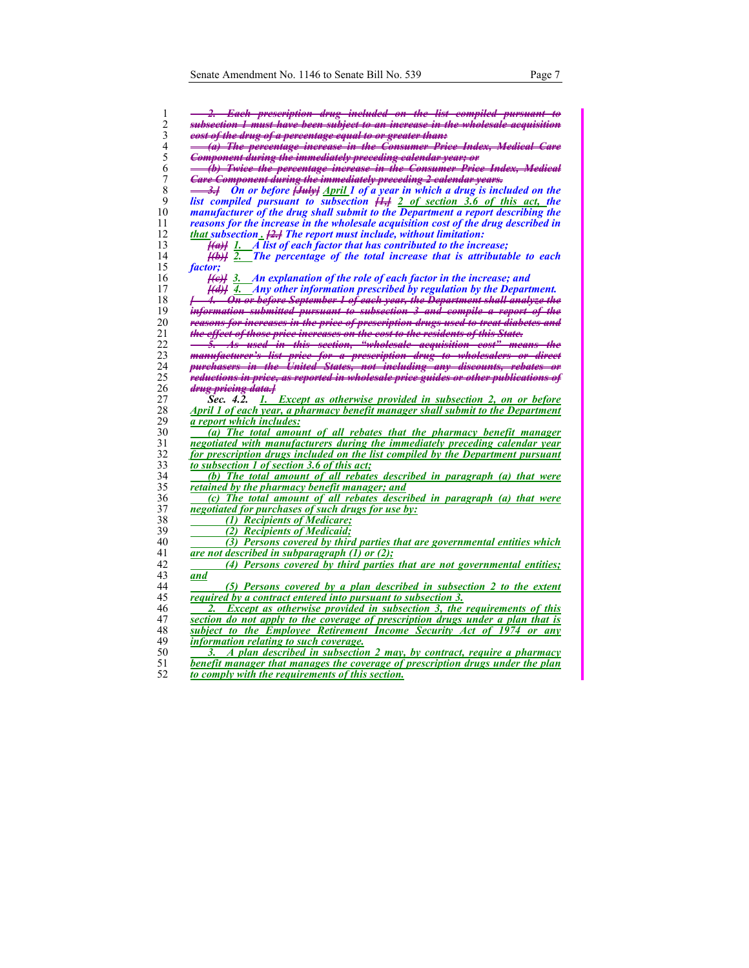| 1                | <del>. 2. Each prescription drug included on the list compiled pursuant to</del>                   |
|------------------|----------------------------------------------------------------------------------------------------|
| 2                | <del>subsection 1 must have been subject to an increase in the wholesale acquisition</del>         |
| 3                | eost of the drug of a percentage equal to or greater than:                                         |
| $\overline{4}$   | (a) The percentage increase in the Consumer Price Index, Medical Care                              |
| 5                | Component during the immediately preceding calendar year; or                                       |
| 6                | (b) Twice the percentage increase in the Consumer Price Index, Medical                             |
| $\boldsymbol{7}$ | <b>Care Component during the immediately preceding 2 calendar years.</b>                           |
| 8                |                                                                                                    |
|                  | <del>3.]</del> On or before <del>[July]</del> April 1 of a year in which a drug is included on the |
| 9                | list compiled pursuant to subsection $\frac{11}{11}$ 2 of section 3.6 of this act, the             |
| 10               | manufacturer of the drug shall submit to the Department a report describing the                    |
| 11               | reasons for the increase in the wholesale acquisition cost of the drug described in                |
| 12               | that subsection [2.] The report must include, without limitation:                                  |
| 13               | $\frac{f(a)}{g}$ 1. A list of each factor that has contributed to the increase;                    |
| 14               | $\frac{f(b)}{f(c)}$ 2. The percentage of the total increase that is attributable to each           |
| 15               | <i>factor</i> ;                                                                                    |
| 16               | $\frac{f(e)}{g}$ 3. An explanation of the role of each factor in the increase; and                 |
| 17               | $\frac{f(d)}{f(d)}$ 4. Any other information prescribed by regulation by the Department.           |
| 18               | <del>[ 4. On or before September 1 of each year, the Department shall analyze the</del>            |
| 19               | <del>information submitted pursuant to subsection 3 and compile a report of the</del>              |
| 20               | reasons for increases in the price of prescription drugs used to treat diabetes and                |
| 21               | <del>the effect of those price increases on the cost to the residents of this State.</del>         |
| 22               | <del>5. As used in this section, "wholesale acquisition cost" means the</del>                      |
| 23               | manufacturer's list price for a prescription drug to wholesalers or direct                         |
| 24               | purchasers in the United States, not including any discounts, rebates or                           |
| 25               | reductions in price, as reported in wholesale price guides or other publications of                |
| 26               | <del>drug pricing data.]</del>                                                                     |
| 27               | 1. Except as otherwise provided in subsection 2, on or before<br>Sec. 4.2.                         |
| 28               | April 1 of each year, a pharmacy benefit manager shall submit to the Department                    |
| 29               | a report which includes:                                                                           |
| 30               | (a) The total amount of all rebates that the pharmacy benefit manager                              |
| 31               | negotiated with manufacturers during the immediately preceding calendar year                       |
| 32               | for prescription drugs included on the list compiled by the Department pursuant                    |
| 33               | to subsection 1 of section 3.6 of this act;                                                        |
| 34               | (b) The total amount of all rebates described in paragraph (a) that were                           |
| 35               | retained by the pharmacy benefit manager; and                                                      |
| 36               | (c) The total amount of all rebates described in paragraph (a) that were                           |
| 37               | negotiated for purchases of such drugs for use by:                                                 |
| 38               | (1) Recipients of Medicare;                                                                        |
| 39               | (2) Recipients of Medicaid;                                                                        |
| 40               | (3) Persons covered by third parties that are governmental entities which                          |
| 41               | are not described in subparagraph $(1)$ or $(2)$ ;                                                 |
| 42               | (4) Persons covered by third parties that are not governmental entities;                           |
| 43               | and                                                                                                |
| 44               | (5) Persons covered by a plan described in subsection 2 to the extent                              |
| 45               | required by a contract entered into pursuant to subsection 3.                                      |
| 46               | <b>Except as otherwise provided in subsection 3, the requirements of this</b>                      |
| 47               | section do not apply to the coverage of prescription drugs under a plan that is                    |
| 48               | subject to the Employee Retirement Income Security Act of 1974 or any                              |
| 49               | <i>information relating to such coverage.</i>                                                      |
| 50               | A plan described in subsection 2 may, by contract, require a pharmacy<br>3.                        |
| 51               | benefit manager that manages the coverage of prescription drugs under the plan                     |
| 52               | to comply with the requirements of this section.                                                   |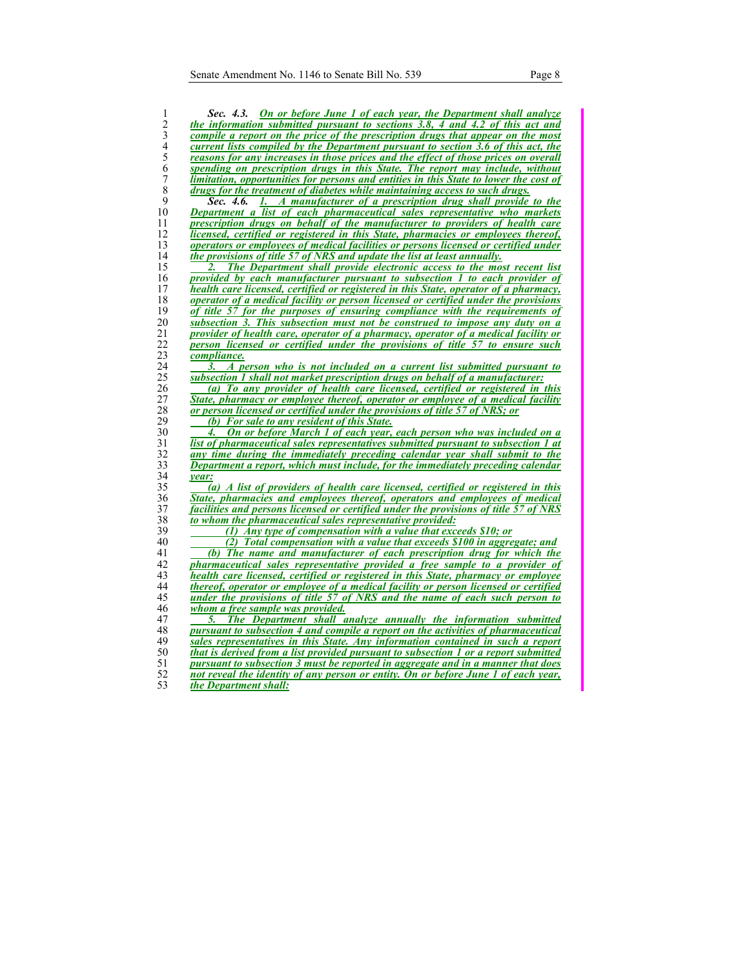| 1                | <b>On or before June 1 of each year, the Department shall analyze</b><br>Sec. 4.3.                                                                               |
|------------------|------------------------------------------------------------------------------------------------------------------------------------------------------------------|
| 2                | the information submitted pursuant to sections 3.8, 4 and 4.2 of this act and                                                                                    |
| 3                | compile a report on the price of the prescription drugs that appear on the most                                                                                  |
| $\overline{4}$   | current lists compiled by the Department pursuant to section 3.6 of this act, the                                                                                |
| 5                | <u>reasons for any increases in those prices and the effect of those prices on overall</u>                                                                       |
| 6                | spending on prescription drugs in this State. The report may include, without                                                                                    |
| $\boldsymbol{7}$ | limitation, opportunities for persons and entities in this State to lower the cost of                                                                            |
| $\,$ 8 $\,$      | drugs for the treatment of diabetes while maintaining access to such drugs.                                                                                      |
| 9                | 1. A manufacturer of a prescription drug shall provide to the<br>Sec. 4.6.                                                                                       |
| 10               | <b>Department a list of each pharmaceutical sales representative who markets</b>                                                                                 |
| 11               | prescription drugs on behalf of the manufacturer to providers of health care                                                                                     |
| 12               | licensed, certified or registered in this State, pharmacies or employees thereof,                                                                                |
| 13               | operators or employees of medical facilities or persons licensed or certified under                                                                              |
| 14               | the provisions of title 57 of NRS and update the list at least annually.                                                                                         |
| 15               | The Department shall provide electronic access to the most recent list                                                                                           |
| 16               | provided by each manufacturer pursuant to subsection 1 to each provider of                                                                                       |
| 17               | health care licensed, certified or registered in this State, operator of a pharmacy,                                                                             |
| 18               | <i><u><b>operator of a medical facility or person licensed or certified under the provisions</b></u></i>                                                         |
| 19               | of title 57 for the purposes of ensuring compliance with the requirements of                                                                                     |
| 20               | <u>subsection 3. This subsection must not be construed to impose any duty on a</u>                                                                               |
| $\overline{21}$  | provider of health care, operator of a pharmacy, operator of a medical facility or                                                                               |
| 22               | person licensed or certified under the provisions of title 57 to ensure such                                                                                     |
| 23               | compliance.                                                                                                                                                      |
| 24               | A person who is not included on a current list submitted pursuant to<br>3.                                                                                       |
| 25               | <u>subsection 1 shall not market prescription drugs on behalf of a manufacturer:</u>                                                                             |
| 26               | (a) To any provider of health care licensed, certified or registered in this                                                                                     |
| 27               | <u>State, pharmacy or employee thereof, operator or employee of a medical facility</u>                                                                           |
| 28               | or person licensed or certified under the provisions of title 57 of NRS; or                                                                                      |
| 29               | (b) For sale to any resident of this State.                                                                                                                      |
| 30               | On or before March 1 of each year, each person who was included on a<br>4.                                                                                       |
| 31               | list of pharmaceutical sales representatives submitted pursuant to subsection 1 at                                                                               |
| 32               | any time during the immediately preceding calendar year shall submit to the                                                                                      |
| 33               | Department a report, which must include, for the immediately preceding calendar                                                                                  |
| 34               | <i>vear:</i>                                                                                                                                                     |
| 35               | $\overline{a}$ ) A list of providers of health care licensed, certified or registered in this                                                                    |
| 36               | State, pharmacies and employees thereof, operators and employees of medical                                                                                      |
| 37               | <u>facilities and persons licensed or certified under the provisions of title 57 of NRS</u>                                                                      |
| 38               | to whom the pharmaceutical sales representative provided:                                                                                                        |
| 39               | (1) Any type of compensation with a value that exceeds $$10;$ or                                                                                                 |
| 40               | (2) Total compensation with a value that exceeds \$100 in aggregate; and                                                                                         |
| 41<br>42         | (b) The name and manufacturer of each prescription drug for which the                                                                                            |
| 43               | pharmaceutical sales representative provided a free sample to a provider of<br>health care licensed, certified or registered in this State, pharmacy or employee |
| 44               | thereof, operator or employee of a medical facility or person licensed or certified                                                                              |
| 45               | under the provisions of title 57 of NRS and the name of each such person to                                                                                      |
| 46               | whom a free sample was provided.                                                                                                                                 |
| 47               | <b>The Department shall analyze annually the information submitted</b>                                                                                           |
| 48               | pursuant to subsection 4 and compile a report on the activities of pharmaceutical                                                                                |
| 49               | sales representatives in this State. Any information contained in such a report                                                                                  |
| 50               | that is derived from a list provided pursuant to subsection 1 or a report submitted                                                                              |
| 51               | pursuant to subsection 3 must be reported in aggregate and in a manner that does                                                                                 |
| 52               | not reveal the identity of any person or entity. On or before June 1 of each year,                                                                               |
| 53               | the Department shall:                                                                                                                                            |
|                  |                                                                                                                                                                  |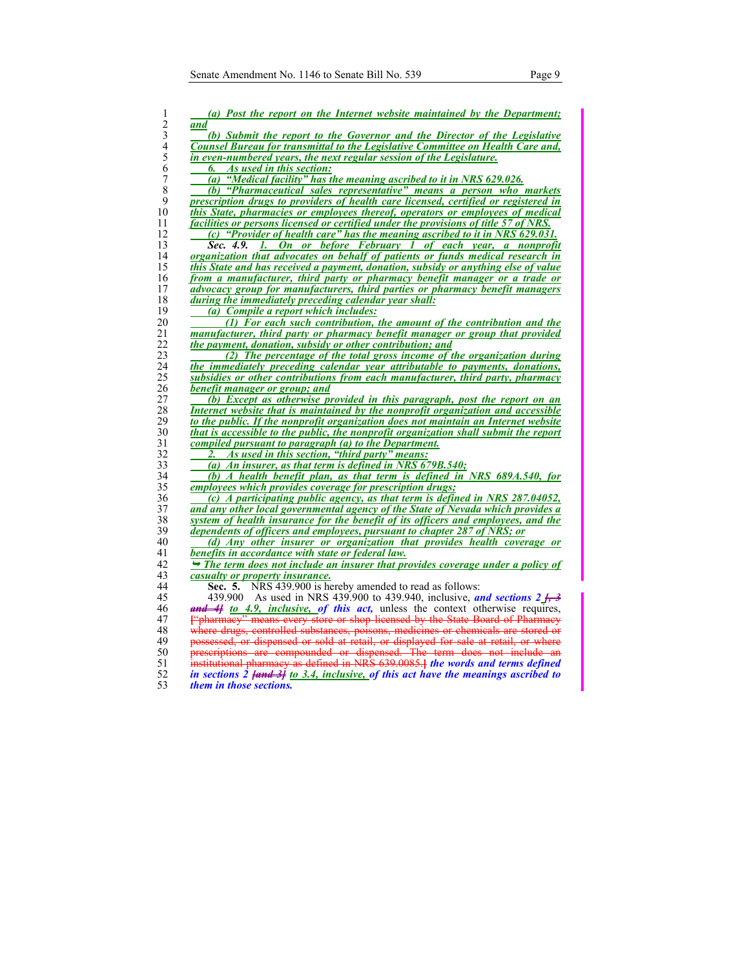| $\mathbf{1}$   | (a) Post the report on the Internet website maintained by the Department;                                  |
|----------------|------------------------------------------------------------------------------------------------------------|
| $\overline{c}$ | and                                                                                                        |
| $\mathfrak{Z}$ | (b) Submit the report to the Governor and the Director of the Legislative                                  |
| $\overline{4}$ | Counsel Bureau for transmittal to the Legislative Committee on Health Care and,                            |
| 5              | in even-numbered years, the next regular session of the Legislature.                                       |
| 6              | As used in this section:<br>6.                                                                             |
| $\overline{7}$ | (a) "Medical facility" has the meaning ascribed to it in NRS 629.026.                                      |
| $\,$ 8 $\,$    | (b) "Pharmaceutical sales representative" means a person who markets                                       |
| 9              | prescription drugs to providers of health care licensed, certified or registered in                        |
| 10             | this State, pharmacies or employees thereof, operators or employees of medical                             |
| 11             | facilities or persons licensed or certified under the provisions of title 57 of NRS.                       |
| 12             | (c) "Provider of health care" has the meaning ascribed to it in NRS 629.031.                               |
| 13             | 1. On or before February 1 of each year, a nonprofit<br>Sec. 4.9.                                          |
| 14             | organization that advocates on behalf of patients or funds medical research in                             |
| 15             | this State and has received a payment, donation, subsidy or anything else of value                         |
|                |                                                                                                            |
| 16<br>17       | from a manufacturer, third party or pharmacy benefit manager or a trade or                                 |
|                | advocacy group for manufacturers, third parties or pharmacy benefit managers                               |
| 18             | during the immediately preceding calendar year shall:                                                      |
| 19             | (a) Compile a report which includes:                                                                       |
| 20<br>21       | (1) For each such contribution, the amount of the contribution and the                                     |
|                | manufacturer, third party or pharmacy benefit manager or group that provided                               |
| 22<br>23       | the payment, donation, subsidy or other contribution; and                                                  |
|                | (2) The percentage of the total gross income of the organization during                                    |
| 24             | the immediately preceding calendar year attributable to payments, donations,                               |
| 25<br>26       | subsidies or other contributions from each manufacturer, third party, pharmacy                             |
| 27             | benefit manager or group; and<br>(b) Except as otherwise provided in this paragraph, post the report on an |
| 28             | Internet website that is maintained by the nonprofit organization and accessible                           |
| 29             | to the public. If the nonprofit organization does not maintain an Internet website                         |
| 30             | that is accessible to the public, the nonprofit organization shall submit the report                       |
| 31             | compiled pursuant to paragraph (a) to the Department.                                                      |
| 32             | As used in this section, "third party" means:<br>2.                                                        |
| 33             | (a) An insurer, as that term is defined in NRS 679B.540;                                                   |
| 34             | (b) A health benefit plan, as that term is defined in NRS 689A,540, for                                    |
| 35             | employees which provides coverage for prescription drugs;                                                  |
| 36             | (c) A participating public agency, as that term is defined in NRS $287.04052$ ,                            |
| 37             | and any other local governmental agency of the State of Nevada which provides a                            |
| 38             | system of health insurance for the benefit of its officers and employees, and the                          |
| 39             | dependents of officers and employees, pursuant to chapter 287 of NRS; or                                   |
| 40             | (d) Any other insurer or organization that provides health coverage or                                     |
| 41             | benefits in accordance with state or federal law.                                                          |
| 42             | $\rightarrow$ The term does not include an insurer that provides coverage under a policy of                |
| 43             | casualty or property insurance.                                                                            |
| 44             | Sec. 5. NRS 439.900 is hereby amended to read as follows:                                                  |
| 45             | 439.900 As used in NRS 439.900 to 439.940, inclusive, and sections $2\frac{1}{2}$                          |
| 46             | and 4 to 4.9, inclusive, of this act, unless the context otherwise requires,                               |
| 47             | ""pharmacy" means every store or shop licensed by the State Board of Pharmacy                              |
| 48             | where drugs, controlled substances, poisons, medicines or chemicals are stored or                          |
| 49             | possessed, or dispensed or sold at retail, or displayed for sale at retail, or where                       |
| 50             | prescriptions are compounded or dispensed. The term does not include an                                    |
| 51             | institutional pharmacy as defined in NRS 639.0085. the words and terms defined                             |
| 52             | in sections $\hat{2}$ fand $\hat{3}$ to 3.4, inclusive, of this act have the meanings ascribed to          |
| 53             | <i>them in those sections.</i>                                                                             |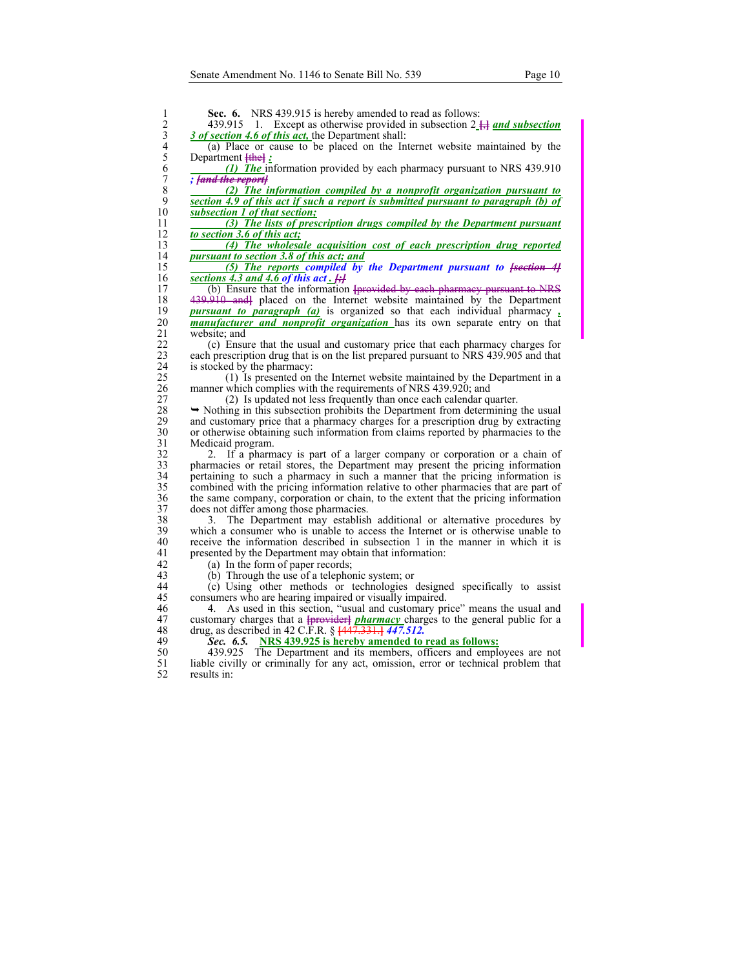| Except as otherwise provided in subsection $2 \frac{11}{11}$ and subsection<br>439.915<br>-1.<br>3 of section 4.6 of this act, the Department shall: |
|------------------------------------------------------------------------------------------------------------------------------------------------------|
| (a) Place or cause to be placed on the Internet website maintained by the                                                                            |
| Department <b>[the]</b> :                                                                                                                            |
| (1) The information provided by each pharmacy pursuant to NRS 439.910                                                                                |
| ; fand the reportf<br>(2) The information compiled by a nonprofit organization pursuant to                                                           |
| section 4.9 of this act if such a report is submitted pursuant to paragraph (b) of                                                                   |
| subsection 1 of that section;                                                                                                                        |
| (3) The lists of prescription drugs compiled by the Department pursuant<br>to section 3.6 of this act;                                               |
| (4) The wholesale acquisition cost of each prescription drug reported                                                                                |
| pursuant to section 3.8 of this act; and                                                                                                             |
| (5) The reports compiled by the Department pursuant to $fs$ existen $4f$                                                                             |
| sections 4.3 and 4.6 of this act. $\ddot{H}$                                                                                                         |
| (b) Ensure that the information [provided by each pharmacy pursuant to NRS                                                                           |
| 439.910 and placed on the Internet website maintained by the Department                                                                              |
| <b>pursuant to paragraph (a)</b> is organized so that each individual pharmacy.                                                                      |
| <i>manufacturer and nonprofit organization</i> has its own separate entry on that                                                                    |
| website; and                                                                                                                                         |
| (c) Ensure that the usual and customary price that each pharmacy charges for                                                                         |
| each prescription drug that is on the list prepared pursuant to NRS 439.905 and that                                                                 |
| is stocked by the pharmacy:                                                                                                                          |
| (1) Is presented on the Internet website maintained by the Department in a                                                                           |
| manner which complies with the requirements of NRS 439.920; and                                                                                      |
| (2) Is updated not less frequently than once each calendar quarter.                                                                                  |
| $\rightarrow$ Nothing in this subsection prohibits the Department from determining the usual                                                         |
| and customary price that a pharmacy charges for a prescription drug by extracting                                                                    |
| or otherwise obtaining such information from claims reported by pharmacies to the                                                                    |
| Medicaid program.                                                                                                                                    |
| If a pharmacy is part of a larger company or corporation or a chain of<br>2.                                                                         |
| pharmacies or retail stores, the Department may present the pricing information                                                                      |
| pertaining to such a pharmacy in such a manner that the pricing information is                                                                       |
| combined with the pricing information relative to other pharmacies that are part of                                                                  |
| the same company, corporation or chain, to the extent that the pricing information<br>does not differ among those pharmacies.                        |
| The Department may establish additional or alternative procedures by<br>3.                                                                           |
| which a consumer who is unable to access the Internet or is otherwise unable to                                                                      |
| receive the information described in subsection 1 in the manner in which it is                                                                       |
| presented by the Department may obtain that information:                                                                                             |
| (a) In the form of paper records;                                                                                                                    |
| (b) Through the use of a telephonic system; or                                                                                                       |
| (c) Using other methods or technologies designed specifically to assist                                                                              |
| consumers who are hearing impaired or visually impaired.                                                                                             |
| As used in this section, "usual and customary price" means the usual and<br>4.                                                                       |
| customary charges that a <b>provider</b> <i>pharmacy</i> charges to the general public for a                                                         |
| drug, as described in 42 C.F.R. § $\frac{1447.331.1}{447.512.1}$                                                                                     |
| <b>NRS 439.925 is hereby amended to read as follows:</b><br>Sec. 6.5.                                                                                |
| The Department and its members, officers and employees are not<br>439.925                                                                            |
| liable civilly or criminally for any act, omission, error or technical problem that                                                                  |
| results in:                                                                                                                                          |
|                                                                                                                                                      |
|                                                                                                                                                      |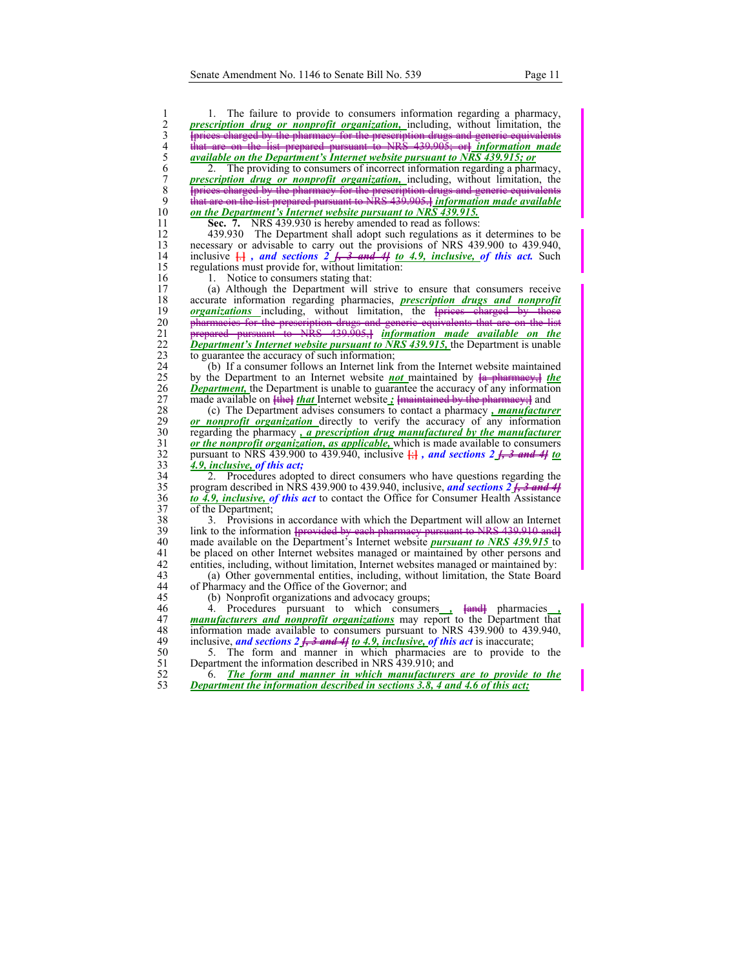1 1. The failure to provide to consumers information regarding a pharmacy, **2** *prescription drug or nonprofit organization*, including, without limitation, the <br>
<del>{prices charged by the pharmacy for the prescription drugs and generic equivalents<br>
4 **that are on the list prepared pursuant to NR</del>** 3 **[**prices charged by the pharmacy for the prescription drugs and generic equivalents 4 that are on the list prepared pursuant to NRS 439.905; or**]** *information made*  5 *available on the Department's Internet website pursuant to NRS 439.915; or***<br>6 2. The providing to consumers of incorrect information regarding a pharm<br>7 <b>prescription drug or nonprofit organization**, including, without 6 2. The providing to consumers of incorrect information regarding a pharmacy, *Prescription drug or nonprofit organization*, including, without limitation, the *prescription drugs* and *generic equivalents* 8 *Iprices charged by the pharmacy for the prescription drugs and generic equivalents***<br>9 <b>***that are on the list prepared pursuant to NRS 439,905.1 information made available* 9 that are on the list prepared pursuant to NRS 439.905.<sup>1</sup> information made available on the Department's Internet website pursuant to NRS 439.915. 10 *on the Department's Internet website pursuant to NRS 439.915.* 11 **Sec. 7.** NRS 439.930 is hereby amended to read as follows:

12 439.930 The Department shall adopt such regulations as it determines to be necessary or advisable to carry out the provisions of NRS 439.900 to 439.940. necessary or advisable to carry out the provisions of NRS 439.900 to 439.940, 14 inclusive  $\frac{1}{k!}$ , and sections 2  $\frac{1}{k!}$ , 3 and 4! to 4.9, inclusive, of this act. Such regulations must provide for, without limitation: regulations must provide for, without limitation:

16 1. Notice to consumers stating that:<br>17 (a) Although the Department will

(a) Although the Department will strive to ensure that consumers receive 18 accurate information regarding pharmacies, *prescription drugs and nonprofit*  19 *organizations* including, without limitation, the **[**prices charged by those 20 <del>pharmacies for the prescription drugs and generic equivalents that are on the list</del> 21 prepared pursuant to NRS 439.905,**]** *information made available on the*  22 **Department's Internet website pursuant to NRS 439.915,** the Department is unable to guarantee the accuracy of such information; to guarantee the accuracy of such information;

24 (b) If a consumer follows an Internet link from the Internet website maintained by the Department to an Internet website **not** maintained by  $\frac{1}{2}$  **the** by the Department to an Internet website **not** maintained by  $\{a \}$  pharmacy, the 26 *Department*, the Department is unable to guarantee the accuracy of any information

27 made available on **[ihe]** *that* Internet website *j* **[**maintained by the pharmacy;] and (c) The Department advises consumers to contact a pharmacy, *manufacture* 28 (c) The Department advises consumers to contact a pharmacy *, manufacturer*  29 **or nonprofit organization** directly to verify the accuracy of any information regarding the pharmacy, a prescription drug manufactured by the manufacturer 30 regarding the pharmacy *, a prescription drug manufactured by the manufacturer or the nonprofit organization, as applicable,* which is made available to consumers or the nonprofit organization, as applicable, which is made available to consumers 32 pursuant to NRS 439.900 to 439.940, inclusive **[**;**]** *, and sections 2 [, 3 and 4] to*  33 *4.9, inclusive, of this act;*

34 2. Procedures adopted to direct consumers who have questions regarding the 35 program described in NRS 439.900 to 439.940, inclusive, *and sections 2 [, 3 and 4]* 36 *to 4.9, inclusive, of this act* to contact the Office for Consumer Health Assistance 37 of the Department;<br>38 3. Provisions

38 3. Provisions in accordance with which the Department will allow an Internet 39 1 ink to the information <del>[provided by each pharmacy pursuant to NRS 439.910 and]</del> 39 link to the information **[**provided by each pharmacy pursuant to NRS 439.910 and**]** 40 made available on the Department's Internet website *pursuant to NRS 439.915* to 41 be placed on other Internet websites managed or maintained by other persons and 42 entities, including, without limitation, Internet websites managed or maintained by:<br>43 (a) Other governmental entities, including, without limitation, the State Board

43 (a) Other governmental entities, including, without limitation, the State Board 44 of Pharmacy and the Office of the Governor; and

45 (b) Nonprofit organizations and advocacy groups;

46 4. Procedures pursuant to which consumers *,* **[**and**]** pharmacies *,*  47 **manufacturers and nonprofit organizations** may report to the Department that information made available to consumers pursuant to NRS 439,900 to 439,940. information made available to consumers pursuant to NRS 439.900 to 439.940, 49 inclusive, *and sections 2 [, 3 and 4] to 4.9, inclusive, of this act* is inaccurate;

50 5. The form and manner in which pharmacies are to provide to the Department the information described in NRS 439.910; and Department the information described in NRS 439.910; and

52 6. *The form and manner in which manufacturers are to provide to the*  53 *Department the information described in sections 3.8, 4 and 4.6 of this act;*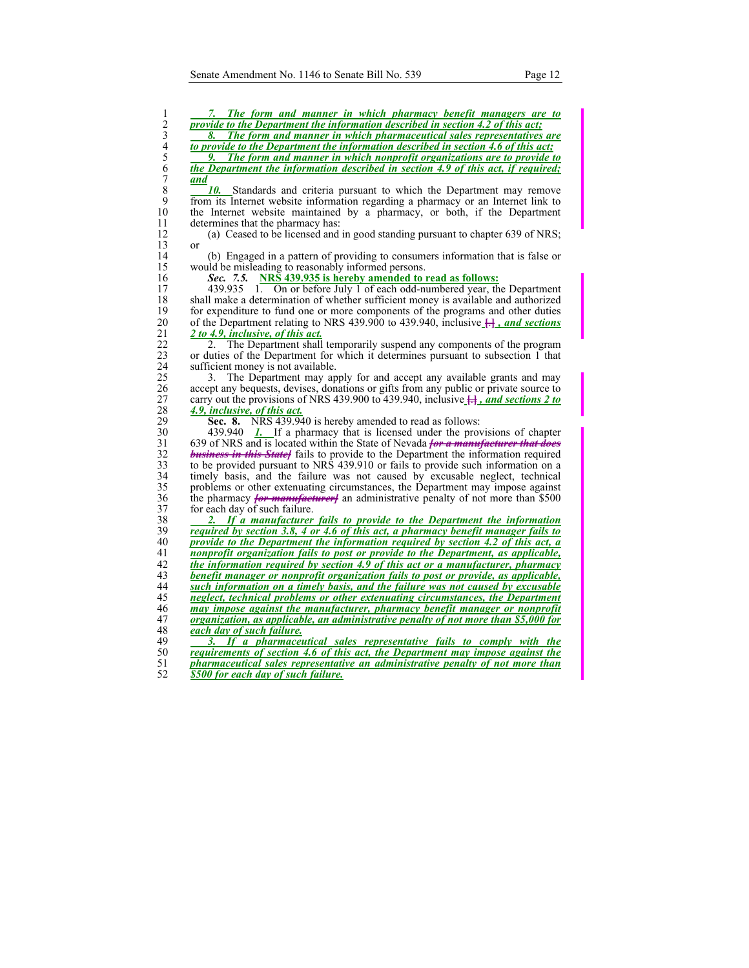| 1                       | 7. The form and manner in which pharmacy benefit managers are to                                 |
|-------------------------|--------------------------------------------------------------------------------------------------|
| $\frac{2}{3}$           | provide to the Department the information described in section 4.2 of this act;                  |
|                         | The form and manner in which pharmaceutical sales representatives are<br>8.                      |
| $\overline{\mathbf{4}}$ | to provide to the Department the information described in section 4.6 of this act;               |
| 5                       | The form and manner in which nonprofit organizations are to provide to                           |
| 6                       | the Department the information described in section 4.9 of this act, if required;                |
| $\overline{7}$          | and                                                                                              |
| 8                       | 10. Standards and criteria pursuant to which the Department may remove                           |
| 9                       | from its Internet website information regarding a pharmacy or an Internet link to                |
| 10                      | the Internet website maintained by a pharmacy, or both, if the Department                        |
| 11                      | determines that the pharmacy has:                                                                |
| 12                      | (a) Ceased to be licensed and in good standing pursuant to chapter 639 of NRS;                   |
| 13                      | <sub>or</sub>                                                                                    |
| 14                      | (b) Engaged in a pattern of providing to consumers information that is false or                  |
| 15                      | would be misleading to reasonably informed persons.                                              |
| 16                      | NRS 439.935 is hereby amended to read as follows:<br>Sec. 7.5.                                   |
| 17                      | 439.935 1. On or before July 1 of each odd-numbered year, the Department                         |
| 18                      | shall make a determination of whether sufficient money is available and authorized               |
| 19                      | for expenditure to fund one or more components of the programs and other duties                  |
| 20                      | of the Department relating to NRS 439.900 to 439.940, inclusive $\frac{1}{11}$ , and sections    |
| 21                      | 2 to 4.9, inclusive, of this act.                                                                |
| 22                      | The Department shall temporarily suspend any components of the program<br>2.                     |
| 23                      | or duties of the Department for which it determines pursuant to subsection 1 that                |
| 24                      | sufficient money is not available.                                                               |
| 25                      | The Department may apply for and accept any available grants and may<br>3.                       |
| 26                      | accept any bequests, devises, donations or gifts from any public or private source to            |
| 27                      | carry out the provisions of NRS 439.900 to 439.940, inclusive $\frac{1}{11}$ , and sections 2 to |
| 28                      | 4.9, inclusive, of this act.                                                                     |
| 29                      | NRS 439.940 is hereby amended to read as follows:<br>Sec. 8.                                     |
| 30                      | <i>I.</i> If a pharmacy that is licensed under the provisions of chapter<br>439.940              |
| 31                      | 639 of NRS and is located within the State of Nevada <i>for a manufacturer that does</i>         |
| 32                      | <b>business in this State</b> fails to provide to the Department the information required        |
| 33                      | to be provided pursuant to NRS 439.910 or fails to provide such information on a                 |
| 34                      | timely basis, and the failure was not caused by excusable neglect, technical                     |
| 35                      | problems or other extenuating circumstances, the Department may impose against                   |
| 36                      | the pharmacy <i>for manufacturer</i> an administrative penalty of not more than \$500            |
| 37                      | for each day of such failure.                                                                    |
| 38                      | 2. If a manufacturer fails to provide to the Department the information                          |
| 39                      | required by section 3.8, 4 or 4.6 of this act, a pharmacy benefit manager fails to               |
| 40                      | provide to the Department the information required by section 4.2 of this act, a                 |
| 41                      | nonprofit organization fails to post or provide to the Department, as applicable,                |
| 42                      | the information required by section 4.9 of this act or a manufacturer, pharmacy                  |
| 43                      | benefit manager or nonprofit organization fails to post or provide, as applicable,               |
| 44                      | such information on a timely basis, and the failure was not caused by excusable                  |
| 45                      | neglect, technical problems or other extenuating circumstances, the Department                   |
| 46                      | may impose against the manufacturer, pharmacy benefit manager or nonprofit                       |
| 47                      | organization, as applicable, an administrative penalty of not more than \$5,000 for              |
| 48                      | each day of such failure.                                                                        |
| 49                      | If a pharmaceutical sales representative fails to comply with the                                |
| 50                      | requirements of section 4.6 of this act, the Department may impose against the                   |
| 51                      | pharmaceutical sales representative an administrative penalty of not more than                   |

52 *\$500 for each day of such failure.*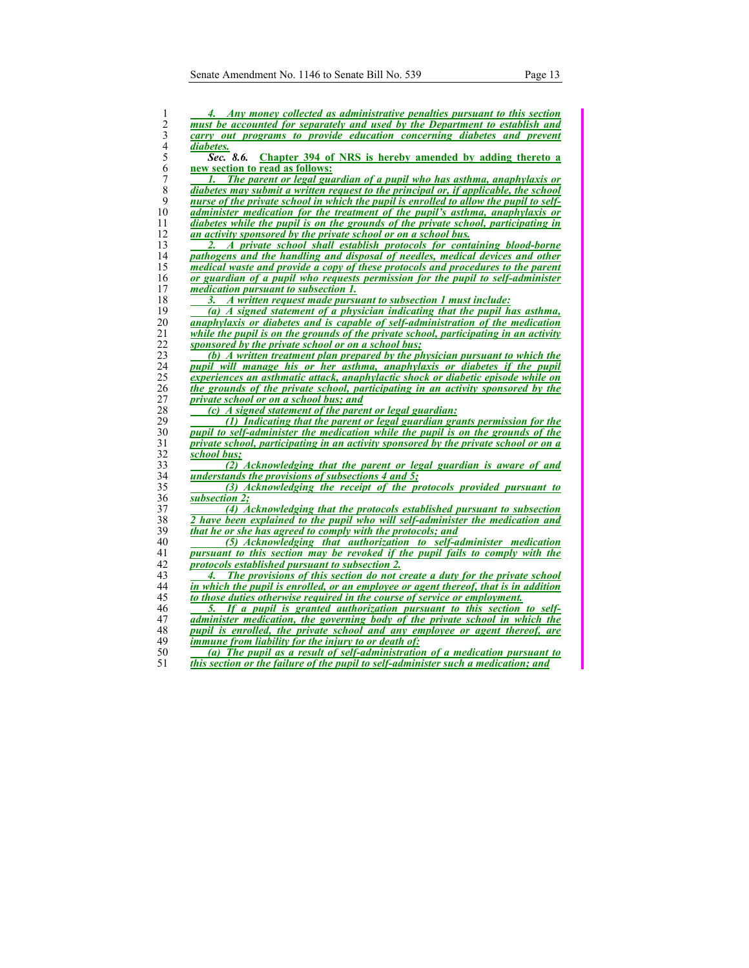| 1                       | 4. Any money collected as administrative penalties pursuant to this section            |
|-------------------------|----------------------------------------------------------------------------------------|
| $\overline{c}$          | must be accounted for separately and used by the Department to establish and           |
| 3                       | carry out programs to provide education concerning diabetes and prevent                |
| $\overline{\mathbf{4}}$ | diabetes.                                                                              |
| 5                       | Sec. 8.6.<br>Chapter 394 of NRS is hereby amended by adding thereto a                  |
| 6                       | new section to read as follows:                                                        |
| 7                       | The parent or legal guardian of a pupil who has asthma, anaphylaxis or                 |
| 8                       | diabetes may submit a written request to the principal or, if applicable, the school   |
| 9                       | nurse of the private school in which the pupil is enrolled to allow the pupil to self- |
| 10                      | administer medication for the treatment of the pupil's asthma, anaphylaxis or          |
| 11                      | diabetes while the pupil is on the grounds of the private school, participating in     |
| 12                      | an activity sponsored by the private school or on a school bus.                        |
| 13                      | A private school shall establish protocols for containing blood-borne<br>2.            |
| 14                      | pathogens and the handling and disposal of needles, medical devices and other          |
| 15                      | medical waste and provide a copy of these protocols and procedures to the parent       |
| 16                      | or guardian of a pupil who requests permission for the pupil to self-administer        |
| 17                      | <i>medication pursuant to subsection 1.</i>                                            |
| 18                      | 3. A written request made pursuant to subsection 1 must include:                       |
| 19                      | (a) A signed statement of a physician indicating that the pupil has asthma,            |
| 20                      | <i>anaphylaxis or diabetes and is capable of self-administration of the medication</i> |
| 21                      | while the pupil is on the grounds of the private school, participating in an activity  |
| 22                      | sponsored by the private school or on a school bus;                                    |
| 23                      | (b) A written treatment plan prepared by the physician pursuant to which the           |
| 24                      | pupil will manage his or her asthma, anaphylaxis or diabetes if the pupil              |
| 25                      | experiences an asthmatic attack, anaphylactic shock or diabetic episode while on       |
| 26                      | the grounds of the private school, participating in an activity sponsored by the       |
| 27                      | private school or on a school bus; and                                                 |
| 28                      | (c) A signed statement of the parent or legal guardian:                                |
| 29                      | (1) Indicating that the parent or legal guardian grants permission for the             |
| 30                      | pupil to self-administer the medication while the pupil is on the grounds of the       |
| 31                      | private school, participating in an activity sponsored by the private school or on a   |
| 32                      | school bus;                                                                            |
| 33                      | (2) Acknowledging that the parent or legal guardian is aware of and                    |
| 34                      | understands the provisions of subsections 4 and 5;                                     |
| 35                      | (3) Acknowledging the receipt of the protocols provided pursuant to                    |
| 36                      | subsection 2;                                                                          |
| 37                      | (4) Acknowledging that the protocols established pursuant to subsection                |
| 38                      | 2 have been explained to the pupil who will self-administer the medication and         |
| 39                      | that he or she has agreed to comply with the protocols; and                            |
| 40                      | (5) Acknowledging that authorization to self-administer medication                     |
| 41                      | pursuant to this section may be revoked if the pupil fails to comply with the          |
| 42                      | protocols established pursuant to subsection 2.                                        |
| 43                      | The provisions of this section do not create a duty for the private school             |
| 44                      | in which the pupil is enrolled, or an employee or agent thereof, that is in addition   |
| 45                      | to those duties otherwise required in the course of service or employment.             |
| 46                      | 5. If a pupil is granted authorization pursuant to this section to self-               |
| 47                      | administer medication, the governing body of the private school in which the           |
| 48                      | pupil is enrolled, the private school and any employee or agent thereof, are           |
| 49                      | <i>immune from liability for the injury to or death of:</i>                            |
| 50                      | (a) The pupil as a result of self-administration of a medication pursuant to           |
| 51                      | this section or the failure of the pupil to self-administer such a medication; and     |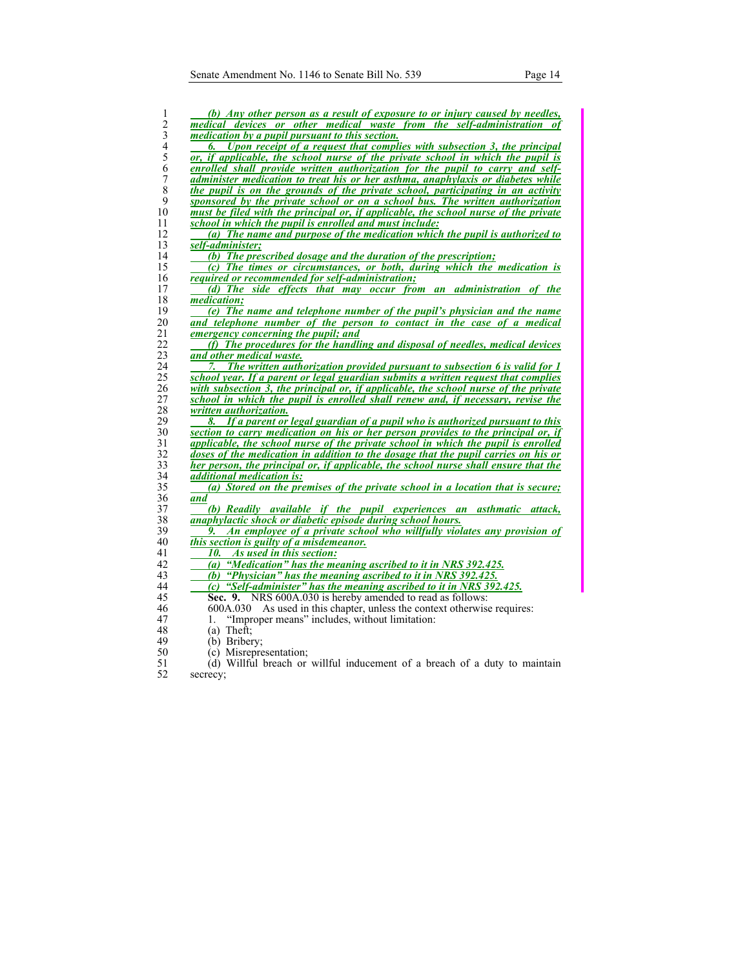| 1                | (b) Any other person as a result of exposure to or injury caused by needles,          |
|------------------|---------------------------------------------------------------------------------------|
| $\overline{c}$   | medical devices or other medical waste from the self-administration                   |
| 3                | <i>medication</i> by a pupil pursuant to this section.                                |
| $\overline{4}$   | 6. Upon receipt of a request that complies with subsection 3, the principal           |
| 5                | or, if applicable, the school nurse of the private school in which the pupil is       |
| 6                | enrolled shall provide written authorization for the pupil to carry and self-         |
| $\boldsymbol{7}$ | administer medication to treat his or her asthma, anaphylaxis or diabetes while       |
| 8                | the pupil is on the grounds of the private school, participating in an activity       |
| 9                | sponsored by the private school or on a school bus. The written authorization         |
| 10               | must be filed with the principal or, if applicable, the school nurse of the private   |
| 11               | school in which the pupil is enrolled and must include:                               |
| 12               | (a) The name and purpose of the medication which the pupil is authorized to           |
| 13               | self-administer;                                                                      |
| 14               | (b) The prescribed dosage and the duration of the prescription;                       |
| 15               | (c) The times or circumstances, or both, during which the medication is               |
| 16               | required or recommended for self-administration;                                      |
| 17               | (d) The side effects that may occur from an administration of the                     |
| 18               | medication;                                                                           |
| 19               | (e) The name and telephone number of the pupil's physician and the name               |
| 20               | and telephone number of the person to contact in the case of a medical                |
| 21               | emergency concerning the pupil; and                                                   |
| 22               | (f) The procedures for the handling and disposal of needles, medical devices          |
| 23               | and other medical waste.                                                              |
| 24               | 7. The written authorization provided pursuant to subsection 6 is valid for 1         |
| 25               | school year. If a parent or legal guardian submits a written request that complies    |
| 26               | with subsection 3, the principal or, if applicable, the school nurse of the private   |
| 27               | school in which the pupil is enrolled shall renew and, if necessary, revise the       |
| 28               | written authorization.                                                                |
| 29               | If a parent or legal guardian of a pupil who is authorized pursuant to this<br>8.     |
| 30               | section to carry medication on his or her person provides to the principal or, if     |
| 31               | applicable, the school nurse of the private school in which the pupil is enrolled     |
| 32               | doses of the medication in addition to the dosage that the pupil carries on his or    |
| 33               | her person, the principal or, if applicable, the school nurse shall ensure that the   |
| 34               | <i>additional medication is:</i>                                                      |
| 35<br>36         | (a) Stored on the premises of the private school in a location that is secure;<br>and |
| 37               | (b) Readily available if the pupil experiences an asthmatic attack,                   |
| 38               | anaphylactic shock or diabetic episode during school hours.                           |
| 39               | 9. An employee of a private school who willfully violates any provision of            |
| 40               | this section is guilty of a misdemeanor.                                              |
| 41               | 10. As used in this section:                                                          |
| 42               | (a) "Medication" has the meaning ascribed to it in NRS 392.425.                       |
| 43               | (b) "Physician" has the meaning ascribed to it in NRS $392.425$ .                     |
| 44               | "Self-administer" has the meaning ascribed to it in NRS 392,425.<br>(c)               |
| 45               | Sec. 9. NRS 600A.030 is hereby amended to read as follows:                            |
| 46               | 600A.030 As used in this chapter, unless the context otherwise requires:              |
| 47               | "Improper means" includes, without limitation:<br>1.                                  |
| 48               | $(a)$ Theft;                                                                          |
| 49               | (b) Bribery;                                                                          |
| 50               | (c) Misrepresentation;                                                                |
| $\epsilon$ 1     | $(A)$ Willful broach or willful inducement of a broach of a duty to mointain          |

51 (d) Willful breach or willful inducement of a breach of a duty to maintain secrecy;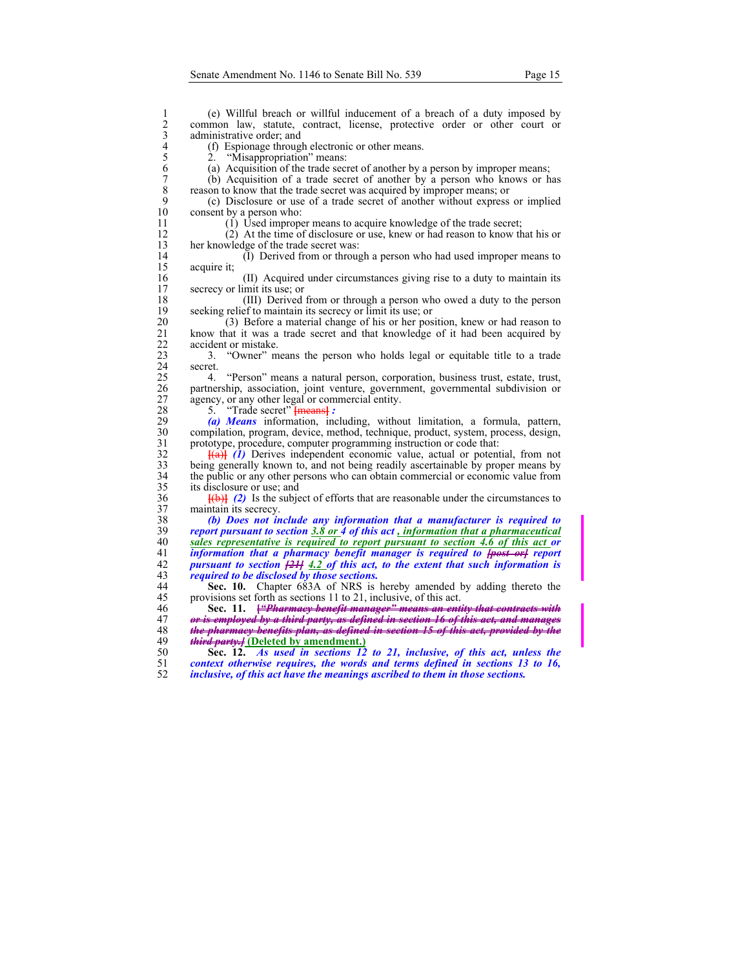1 (e) Willful breach or willful inducement of a breach of a duty imposed by<br>2 common law, statute, contract, license, protective order or other court or<br>3 administrative order; and<br>4 (f) Espionage through electronic or oth common law, statute, contract, license, protective order or other court or administrative order; and 4 (f) Espionage through electronic or other means.<br>
5 2. "Misappropriation" means:<br>
6 (a) Acquisition of the trade secret of another by a 2. "Misappropriation" means: 6 (a) Acquisition of the trade secret of another by a person by improper means; 7 (b) Acquisition of a trade secret of another by a person who knows or has reason to know that the trade secret was acquired by improper means; or 8 reason to know that the trade secret was acquired by improper means; or 9 (c) Disclosure or use of a trade secret of another without express 9 (c) Disclosure or use of a trade secret of another without express or implied consent by a person who: 11 (1) Used improper means to acquire knowledge of the trade secret; 12 (2) At the time of disclosure or use, knew or had reason to know that his or her knowledge of the trade secret was: her knowledge of the trade secret was: 14 (I) Derived from or through a person who had used improper means to acquire it: acquire it; 16 (II) Acquired under circumstances giving rise to a duty to maintain its secrecy or limit its use; or secrecy or limit its use; or 18 (III) Derived from or through a person who owed a duty to the person<br>19 seeking relief to maintain its secrecy or limit its use; or 19 seeking relief to maintain its secrecy or limit its use; or 20 (3) Before a material change of his or her pos 20 (3) Before a material change of his or her position, knew or had reason to 21 know that it was a trade secret and that knowledge of it had been acquired by 21 know that it was a trade secret and that knowledge of it had been acquired by accident or mistake. 22 accident or mistake.<br>23 3. "Owner" m 23 3. "Owner" means the person who holds legal or equitable title to a trade 24 secret.<br>25 4. 25 4. "Person" means a natural person, corporation, business trust, estate, trust, 26 partnership, association, joint venture, government, governmental subdivision or 27 agency, or any other legal or commercial entity.<br>28 5. "Trade secret" <del>[means]</del>: 28 5. "Trade secret" **[means]** *:* **(a)** *Means* information, inc 29 *(a) Means* information, including, without limitation, a formula, pattern, 30 compilation, program, device, method, technique, product, system, process, design, prototype, procedure, computer programming instruction or code that:  $\frac{1}{2}$  **[(a)** *(i)* Derives independent economic value, actual or potential, from not being generally known to, and not being readily ascertainable by proper means by 33 being generally known to, and not being readily ascertainable by proper means by<br>34 the public or any other persons who can obtain commercial or economic value from the public or any other persons who can obtain commercial or economic value from 35 its disclosure or use; and  $\frac{1}{2}$  **[(b)] (2)** Is the subject of efforts that are reasonable under the circumstances to maintain its secrecy. 37 maintain its secrecy.<br>38 *(b)* Does not in 38 *(b) Does not include any information that a manufacturer is required to*  39 *report pursuant to section 3.8 or 4 of this act , information that a pharmaceutical*  40 *sales representative is required to report pursuant to section 4.6 of this act or* 41 *information that a pharmacy benefit manager is required to <del>lpost orl</del> report* 41 *information that a pharmacy benefit manager is required to <del>[post or]</del> report 42 <i>pursuant to section <del>[21]</del> 4.2 of this act, to the extent that such information is* 42 *pursuant to section [21] 4.2 of this act, to the extent that such information is*   $required to be disclosed by those sections.$ 44 **Sec. 10.** Chapter 683A of NRS is hereby amended by adding thereto the 45 provisions set forth as sections 11 to 21, inclusive, of this act. 46 **Sec. 11. [***"Pharmacy benefit manager" means an entity that contracts with*  47 *or is employed by a third party, as defined in section 16 of this act, and manages*  48 *the pharmacy benefits plan, as defined in section 15 of this act, provided by the*  49 *third party.]* **(Deleted by amendment.)** 50 **Sec. 12.** *As used in sections 12 to 21, inclusive, of this act, unless the*  51 *context otherwise requires, the words and terms defined in sections 13 to 16,* 

52 *inclusive, of this act have the meanings ascribed to them in those sections.*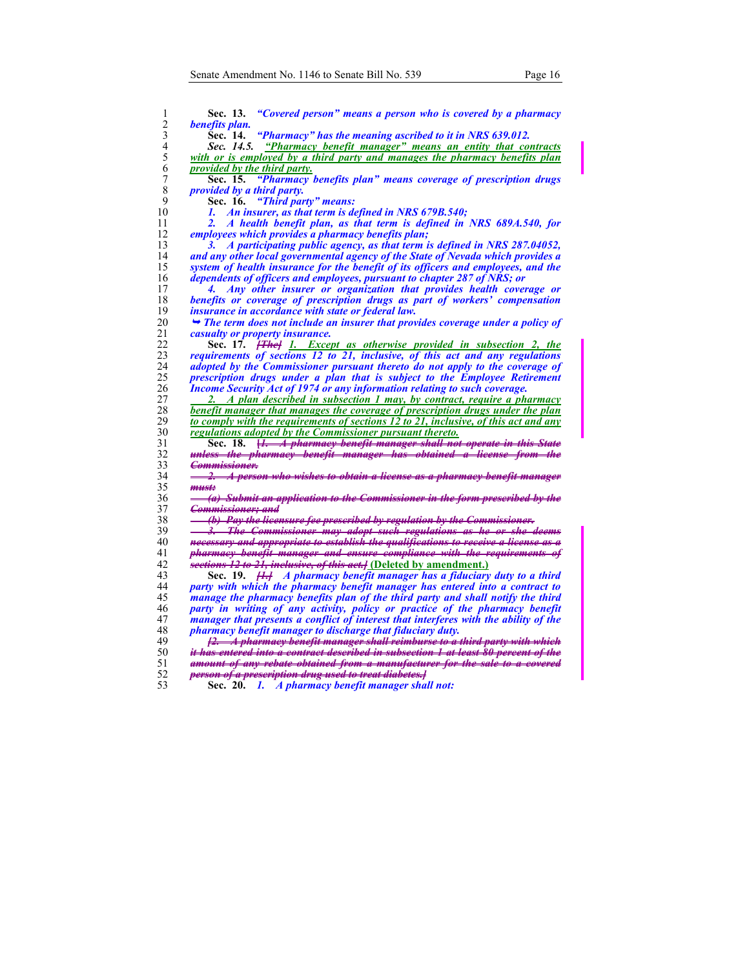| 1              | Sec. 13.<br>"Covered person" means a person who is covered by a pharmacy                                                                                             |
|----------------|----------------------------------------------------------------------------------------------------------------------------------------------------------------------|
| $\overline{c}$ | benefits plan.                                                                                                                                                       |
| 3              | "Pharmacy" has the meaning ascribed to it in NRS 639.012.<br>Sec. 14.                                                                                                |
| 4              | Sec. 14.5. "Pharmacy benefit manager" means an entity that contracts                                                                                                 |
| 5              | with or is employed by a third party and manages the pharmacy benefits plan                                                                                          |
| 6              | provided by the third party.                                                                                                                                         |
| 7              | "Pharmacy benefits plan" means coverage of prescription drugs<br>Sec. 15.                                                                                            |
| 8              | <i>provided by a third party.</i>                                                                                                                                    |
| 9              | "Third party" means:<br>Sec. 16.                                                                                                                                     |
| 10             | An insurer, as that term is defined in NRS 679B.540;<br>1.                                                                                                           |
| 11             | A health benefit plan, as that term is defined in NRS 689A.540, for<br>2.                                                                                            |
| 12             | employees which provides a pharmacy benefits plan;                                                                                                                   |
| 13             | A participating public agency, as that term is defined in NRS 287.04052,<br>3.                                                                                       |
| 14             | and any other local governmental agency of the State of Nevada which provides a                                                                                      |
| 15             | system of health insurance for the benefit of its officers and employees, and the                                                                                    |
| 16             | dependents of officers and employees, pursuant to chapter 287 of NRS; or                                                                                             |
| 17             | Any other insurer or organization that provides health coverage or<br>4.                                                                                             |
| 18             | benefits or coverage of prescription drugs as part of workers' compensation                                                                                          |
| 19             | <i>insurance in accordance with state or federal law.</i>                                                                                                            |
| 20             | $\rightarrow$ The term does not include an insurer that provides coverage under a policy of                                                                          |
| 21             | casualty or property insurance.                                                                                                                                      |
| 22             | Sec. 17. <del>[The]</del> 1. Except as otherwise provided in subsection 2, the                                                                                       |
| 23             | requirements of sections 12 to 21, inclusive, of this act and any regulations                                                                                        |
| 24             | adopted by the Commissioner pursuant thereto do not apply to the coverage of                                                                                         |
| 25             | prescription drugs under a plan that is subject to the Employee Retirement                                                                                           |
| 26             | <i>Income Security Act of 1974 or any information relating to such coverage.</i>                                                                                     |
| 27             | 2. A plan described in subsection 1 may, by contract, require a pharmacy                                                                                             |
| 28             | benefit manager that manages the coverage of prescription drugs under the plan                                                                                       |
| 29             | to comply with the requirements of sections 12 to 21, inclusive, of this act and any                                                                                 |
| 30             | regulations adopted by the Commissioner pursuant thereto.                                                                                                            |
| 31             | Sec. 18. <i>H. A pharmacy benefit manager shall not operate in this State</i>                                                                                        |
| 32             | <del>unless the pharmacy benefit manager has obtained a license from the</del>                                                                                       |
| 33             | <del>Commissioner.</del>                                                                                                                                             |
| 34             | <u> 2. – </u><br>A person who wishes to obtain a license as a pharmacy benefit manager                                                                               |
| 35             | must                                                                                                                                                                 |
| 36             | a) Submit an application to the Commissioner in the form prescribed by the                                                                                           |
| 37             | <del>Commissioner: and</del>                                                                                                                                         |
| 38             | <u>(b) Pay the licensure fee prescribed by regulation by the Commissioner.</u>                                                                                       |
| 39             | 3. The Commissioner may adopt such regulations as he or she deems                                                                                                    |
| 40             | necessary and appropriate to establish the qualifications to receive a license as a                                                                                  |
| 41             | pharmacy benefit manager and ensure compliance with the requirements of                                                                                              |
| 42             | sections 12 to 21, inclusive, of this act. [Deleted by amendment.]                                                                                                   |
| 43<br>44       | Sec. 19. <del>[1.]</del> A pharmacy benefit manager has a fiduciary duty to a third                                                                                  |
|                | party with which the pharmacy benefit manager has entered into a contract to                                                                                         |
| 45<br>46       | manage the pharmacy benefits plan of the third party and shall notify the third                                                                                      |
| 47             | party in writing of any activity, policy or practice of the pharmacy benefit<br>manager that presents a conflict of interest that interferes with the ability of the |
| 48             | <i>pharmacy benefit manager to discharge that fiduciary duty.</i>                                                                                                    |
| 49             | <u>12. A pharmacy benefit manager shall reimburse to a third party with which</u>                                                                                    |
| 50             | <del>it has entered into a contract described in subsection 1 at least 80 percent of the</del>                                                                       |
| 51             | amount of any rebate obtained from a manufacturer for the sale to a covered                                                                                          |
| 52             | person of a prescription drug used to treat diabetes.]                                                                                                               |
| 53             | Sec. 20. 1. A pharmacy benefit manager shall not:                                                                                                                    |
|                |                                                                                                                                                                      |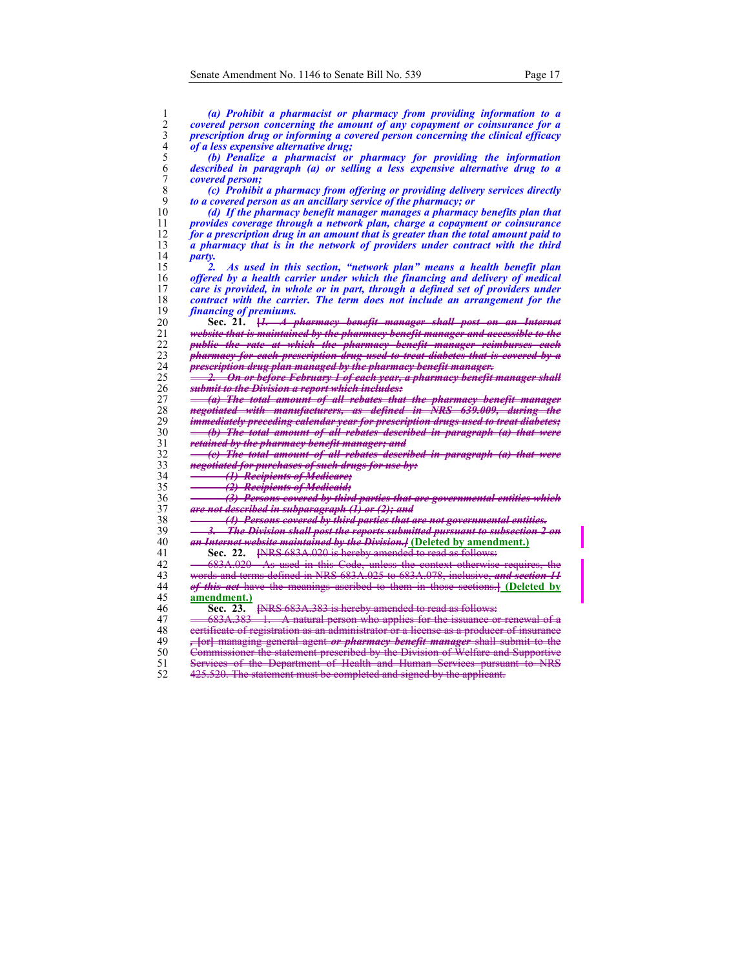| 1              | (a) Prohibit a pharmacist or pharmacy from providing information to a                   |
|----------------|-----------------------------------------------------------------------------------------|
| 2              | covered person concerning the amount of any copayment or coinsurance for a              |
| 3              | prescription drug or informing a covered person concerning the clinical efficacy        |
| $\overline{4}$ | <i>of a less expensive alternative drug;</i>                                            |
| 5              | (b) Penalize a pharmacist or pharmacy for providing the information                     |
| 6              | described in paragraph (a) or selling a less expensive alternative drug to a            |
| 7              | <i>covered person;</i>                                                                  |
| 8              | (c) Prohibit a pharmacy from offering or providing delivery services directly           |
| 9              | to a covered person as an ancillary service of the pharmacy; or                         |
| 10             |                                                                                         |
|                | (d) If the pharmacy benefit manager manages a pharmacy benefits plan that               |
| 11             | provides coverage through a network plan, charge a copayment or coinsurance             |
| 12             | for a prescription drug in an amount that is greater than the total amount paid to      |
| 13             | a pharmacy that is in the network of providers under contract with the third            |
| 14             | party.                                                                                  |
| 15             | As used in this section, "network plan" means a health benefit plan<br>2.               |
| 16             | offered by a health carrier under which the financing and delivery of medical           |
| 17             | care is provided, in whole or in part, through a defined set of providers under         |
| 18             | contract with the carrier. The term does not include an arrangement for the             |
| 19             | <i>financing of premiums.</i>                                                           |
| 20             | Sec. 21. <del>[1. A pharmacy benefit manager shall post on an Internet</del>            |
| 21             | website that is maintained by the pharmacy benefit manager and accessible to the        |
| 22             | public the rate at which the pharmacy benefit manager reimburses each                   |
| 23             | pharmacy for each prescription drug used to treat diabetes that is covered by a         |
| 24             | prescription drug plan managed by the pharmacy benefit manager.                         |
| 25             | <del>2. On or before February 1 of each year, a pharmacy benefit manager shall</del>    |
| 26             | <del>submit to the Division a report which includes:</del>                              |
| 27             | (a) The total amount of all rebates that the pharmacy benefit manager                   |
| 28             |                                                                                         |
| 29             | <del>negotiated with manufacturers, as defined in NRS 639.009, during the</del>         |
|                | immediately preceding ealendar year for prescription drugs used to treat diabetes;      |
| 30             | (b) The total amount of all rebates described in paragraph (a) that were                |
| 31             | retained by the pharmacy benefit manager; and                                           |
| 32             | (c) The total amount of all rebates described in paragraph (a) that were                |
| 33             | negotiated for purchases of such drugs for use by:                                      |
| 34             | (1) Recipients of Medicare;                                                             |
| 35             | (2) Recipients of Medicaid;                                                             |
| 36             | (3) Persons covered by third parties that are governmental entities which               |
| 37             | <del>are not described in subparagraph (1) or (2); and</del>                            |
| 38             | (4) Persons covered by third parties that are not governmental entities.                |
| 39             | 3. The Division shall post the reports submitted pursuant to subsection 2 on            |
| 40             | <i>an Internet website maintained by the Division.]</i> (Deleted by amendment.)         |
| 41             | [NRS 683A.020 is hereby amended to read as follows:<br>Sec. 22.                         |
| 42             | 683A.020 As used in this Code, unless the context otherwise requires, the               |
| 43             | words and terms defined in NRS 683A.025 to 683A.078, inclusive, and section 11          |
| 44             | of this act have the meanings ascribed to them in those sections.] (Deleted by          |
| 45             | amendment.)                                                                             |
| 46             | [NRS 683A.383 is hereby amended to read as follows:<br>Sec. 23.                         |
| 47             | 683A.383 1. A natural person who applies for the issuance or renewal of a               |
| 48             | ecrtificate of registration as an administrator or a license as a producer of insurance |
|                |                                                                                         |
| 49             | y [or] managing general agent or pharmacy benefit manager shall submit to the           |
| 50             | Commissioner the statement prescribed by the Division of Welfare and Supportive         |
| 51             | Services of the Department of Health and Human Services pursuant to NRS                 |
| 52             | 425.520. The statement must be completed and signed by the applicant.                   |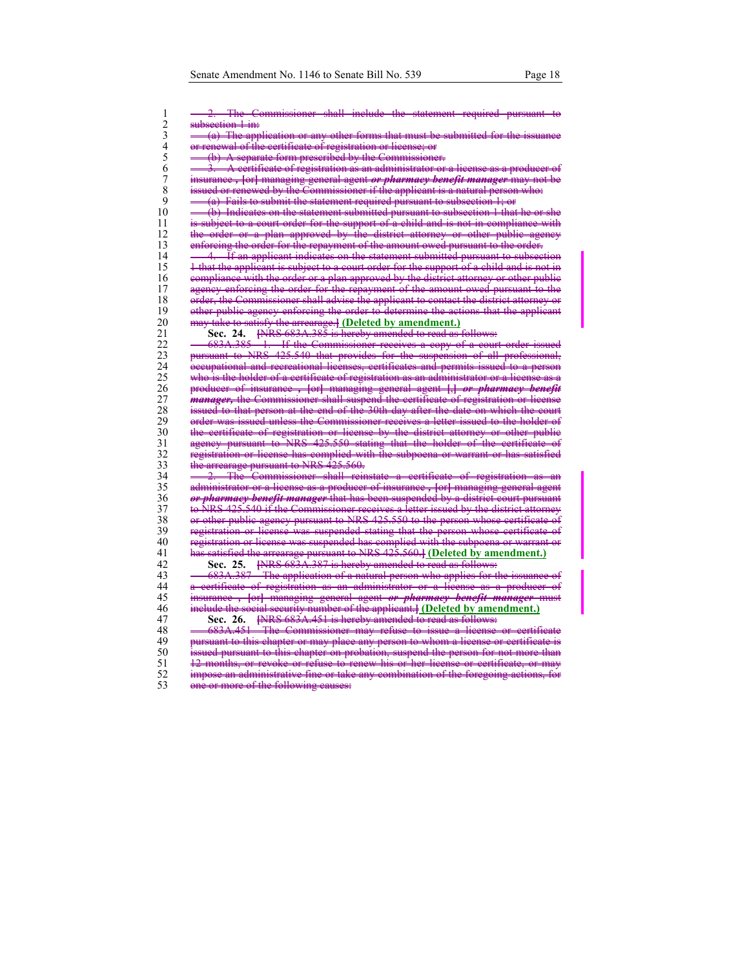$\mathsf{I}$ 

| 2. The Commissioner shall include the statement required pursuant to                                                                                  |
|-------------------------------------------------------------------------------------------------------------------------------------------------------|
| subsection 1 in:                                                                                                                                      |
| (a) The application or any other forms that must be submitted for the issuance                                                                        |
|                                                                                                                                                       |
| or renewal of the certificate of registration or license; or                                                                                          |
| (b) A separate form prescribed by the Commissioner.                                                                                                   |
| $\frac{3}{2}$ . A certificate of registration as an administrator or a license as a producer of                                                       |
| insurance, [or] managing general agent or pharmacy benefit manager may not be                                                                         |
| issued or renewed by the Commissioner if the applicant is a natural person who:                                                                       |
| $(a)$ Fails to submit the statement required pursuant to subsection $1$ ; or                                                                          |
|                                                                                                                                                       |
| (b) Indicates on the statement submitted pursuant to subsection 1 that he or she                                                                      |
| is subject to a court order for the support of a child and is not in compliance with                                                                  |
| the order or a plan approved by the district attorney or other public agency                                                                          |
| enforcing the order for the repayment of the amount owed pursuant to the order.                                                                       |
| <u>4. If an applicant indicates on the statement submitted pursuant to subsection</u>                                                                 |
|                                                                                                                                                       |
| 1 that the applicant is subject to a court order for the support of a child and is not in                                                             |
| compliance with the order or a plan approved by the district attorney or other public                                                                 |
| agency enforcing the order for the repayment of the amount owed pursuant to the                                                                       |
| order, the Commissioner shall advise the applicant to contact the district attorney or                                                                |
| other public agency enforcing the order to determine the actions that the applicant                                                                   |
|                                                                                                                                                       |
| may take to satisfy the arrearage.] (Deleted by amendment.)                                                                                           |
| Sec. 24. <b>EXRS 683A.385</b> is hereby amended to read as follows:                                                                                   |
|                                                                                                                                                       |
| 683A.385 1. If the Commissioner receives a copy of a court order issued pursuant to NRS 425.540 that provides for the suspension of all professional, |
| eccupational and recreational licenses, certificates and permits issued to a person                                                                   |
| who is the holder of a certificate of registration as an administrator or a license as a                                                              |
|                                                                                                                                                       |
| producer of insurance, [or] managing general agent [,] or pharmacy benefit                                                                            |
| <i>manager</i> , the Commissioner shall suspend the eertificate of registration or license                                                            |
| issued to that person at the end of the 30th day after the date on which the court                                                                    |
| order was issued unless the Commissioner receives a letter issued to the holder of                                                                    |
| the eertificate of registration or license by the district attorney or other public                                                                   |
| agency pursuant to NRS 425.550 stating that the holder of the certificate of                                                                          |
|                                                                                                                                                       |
| registration or license has complied with the subpoena or warrant or has satisfied                                                                    |
| the arrearage pursuant to NRS 425.560.                                                                                                                |
| 2. The Commissioner shall reinstate a certificate of registration as an                                                                               |
| administrator or a license as a producer of insurance, [or] managing general agent                                                                    |
| or pharmacy benefit manager that has been suspended by a district court pursuant                                                                      |
|                                                                                                                                                       |
| to NRS 425.540 if the Commissioner receives a letter issued by the district attorney                                                                  |
| or other public agency pursuant to NRS 425.550 to the person whose certificate of                                                                     |
| registration or license was suspended stating that the person whose certificate of                                                                    |
| registration or license was suspended has complied with the subpoena or warrant or                                                                    |
| has satisfied the arrearage pursuant to NRS 425.560.] (Deleted by amendment.)                                                                         |
|                                                                                                                                                       |
| Sec. 25. <b>EXRS 683A.387</b> is hereby amended to read as follows:                                                                                   |
| 683A.387 The application of a natural person who applies for the issuance of                                                                          |
| a certificate of registration as an administrator or a license as a producer of                                                                       |
| insurance, [or] managing general agent or pharmacy benefit manager must                                                                               |
| include the social security number of the applicant.] (Deleted by amendment.)                                                                         |
|                                                                                                                                                       |
| Sec. 26. <del>PNRS 683A.451 is hereby amended to read as follows:</del>                                                                               |
| 683A.451 The Commissioner may refuse to issue a license or certificate                                                                                |
| pursuant to this chapter or may place any person to whom a license or certificate is                                                                  |
| issued pursuant to this chapter on probation, suspend the person for not more than                                                                    |
| 12 months, or revoke or refuse to renew his or her license or certificate, or may                                                                     |
|                                                                                                                                                       |
| impose an administrative fine or take any combination of the foregoing actions, for                                                                   |
| one or more of the following equaes:                                                                                                                  |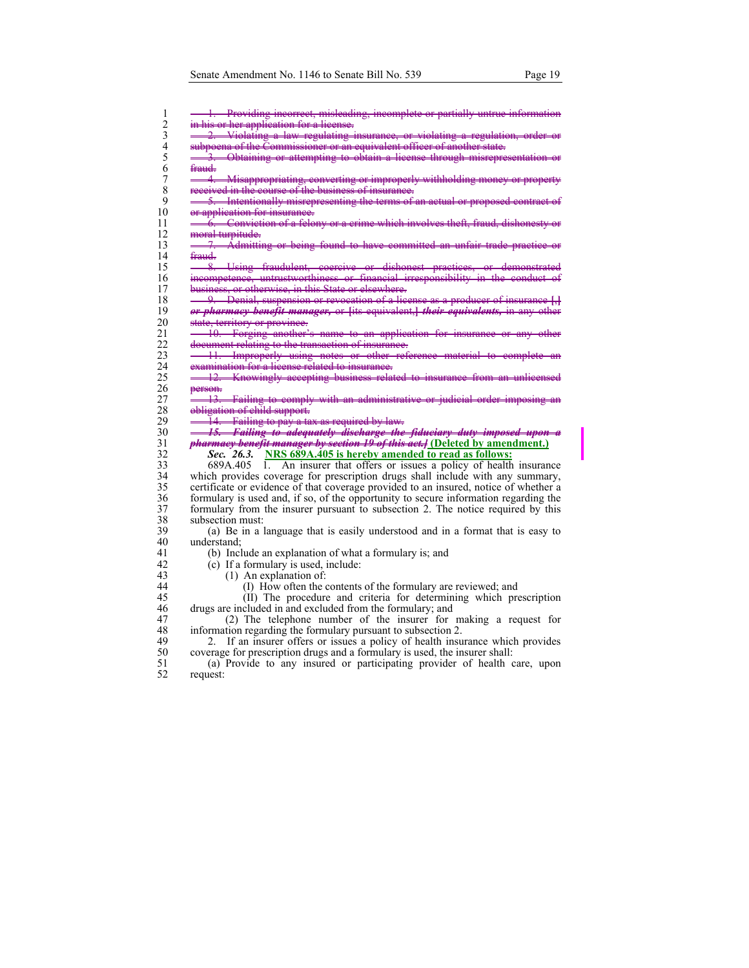| 1                       | 1. Providing incorrect, misleading, incomplete or partially untrue information       |
|-------------------------|--------------------------------------------------------------------------------------|
| $\overline{c}$          | in his or her application for a license.                                             |
| 3                       | 2. Violating a law regulating insurance, or violating a regulation, order            |
| $\overline{\mathbf{4}}$ | subpoena of the Commissioner or an equivalent officer of another state.              |
| 5                       | 3. Obtaining or attempting to obtain a license through misrepresentation or          |
| 6                       | fraud-                                                                               |
| $\sqrt{ }$              |                                                                                      |
| $\,$ 8 $\,$             | 4. Misappropriating, converting or improperly withholding money or property          |
|                         | received in the course of the business of insurance.                                 |
| 9                       | 5. Intentionally misrepresenting the terms of an actual or proposed contract of      |
| 10                      | or application for insurance.                                                        |
| 11                      | 6. Conviction of a felony or a crime which involves theft, fraud, dishonesty or      |
| 12                      | moral turpitude.                                                                     |
| 13                      | 7. Admitting or being found to have committed an unfair trade practice or            |
| 14                      | fraud.                                                                               |
| 15                      | 8. Using fraudulent, coercive or dishonest practices, or demonstrated                |
| 16                      | incompetence, untrustworthiness or financial irresponsibility in the conduct of      |
| 17                      | business, or otherwise, in this State or elsewhere.                                  |
| 18                      | 9. Denial, suspension or revocation of a license as a producer of insurance [.]      |
| 19                      | or pharmacy benefit manager, or [its equivalent,] their equivalents, in any other    |
| 20                      | state, territory or province.                                                        |
| 21                      | 10. Forging another's name to an application for insurance or any other              |
| 22                      | document relating to the transaction of insurance.                                   |
| 23                      | 11. Improperly using notes or other reference material to complete                   |
| 24                      | examination for a license related to insurance.                                      |
| 25                      | 12. Knowingly accepting business related to insurance from an unlicensed             |
| 26                      | person.                                                                              |
| 27                      | 13. Failing to comply with an administrative or judicial order imposing              |
| 28                      | obligation of child support.                                                         |
| 29                      | 14. Failing to pay a tax as required by law.                                         |
| 30                      | <del>15. Failing to adequately discharge the fiduciary duty imposed upon a</del>     |
| 31                      | <i>pharmacy benefit manager by section 19 of this act.</i> [Deleted by amendment.]   |
| 32                      | <i>Sec.</i> 26.3. NRS 689A.405 is hereby amended to read as follows:                 |
| 33                      | 689A.405 1. An insurer that offers or issues a policy of health insurance            |
|                         |                                                                                      |
| 34                      | which provides coverage for prescription drugs shall include with any summary,       |
| 35                      | certificate or evidence of that coverage provided to an insured, notice of whether a |
| 36                      | formulary is used and, if so, of the opportunity to secure information regarding the |
| 37                      | formulary from the insurer pursuant to subsection 2. The notice required by this     |
| 38                      | subsection must:                                                                     |
| 39                      | (a) Be in a language that is easily understood and in a format that is easy to       |
| 40                      | understand:                                                                          |
| 41                      | (b) Include an explanation of what a formulary is; and                               |
| 42                      | (c) If a formulary is used, include:                                                 |
| 43                      | $(1)$ An explanation of:                                                             |
| 44                      | (I) How often the contents of the formulary are reviewed; and                        |
| 45                      | (II) The procedure and criteria for determining which prescription                   |
| 46                      | drugs are included in and excluded from the formulary; and                           |
| 47                      | (2) The telephone number of the insurer for making a request for                     |
| 48                      | information regarding the formulary pursuant to subsection 2.                        |
| 49                      | If an insurer offers or issues a policy of health insurance which provides<br>2.     |
| 50                      | coverage for prescription drugs and a formulary is used, the insurer shall:          |
| 51                      | (a) Provide to any insured or participating provider of health care, upon            |

52 request: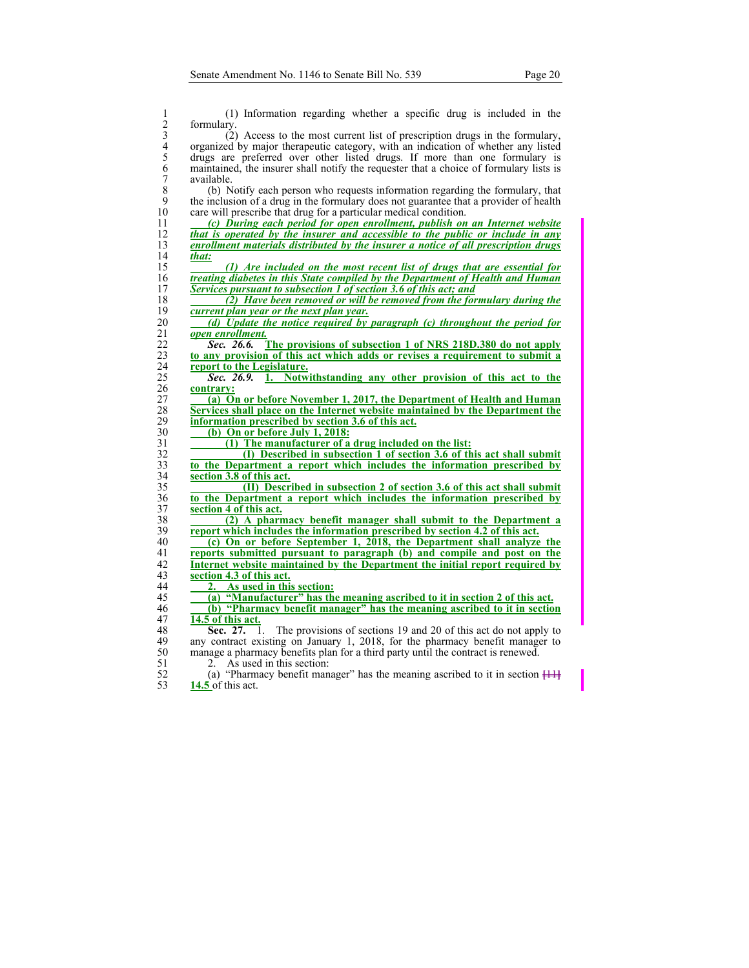| 1                                          | (1) Information regarding whether a specific drug is included in the                       |
|--------------------------------------------|--------------------------------------------------------------------------------------------|
| $\overline{c}$                             | formulary.                                                                                 |
| 3                                          | (2) Access to the most current list of prescription drugs in the formulary,                |
| $\begin{array}{c} 4 \\ 5 \\ 6 \end{array}$ | organized by major therapeutic category, with an indication of whether any listed          |
|                                            | drugs are preferred over other listed drugs. If more than one formulary is                 |
|                                            | maintained, the insurer shall notify the requester that a choice of formulary lists is     |
| $\tilde{7}$                                | available.                                                                                 |
| 8                                          | (b) Notify each person who requests information regarding the formulary, that              |
| 9                                          | the inclusion of a drug in the formulary does not guarantee that a provider of health      |
| 10                                         | care will prescribe that drug for a particular medical condition.                          |
| 11                                         | (c) During each period for open enrollment, publish on an Internet website                 |
| 12                                         | that is operated by the insurer and accessible to the public or include in any             |
| 13                                         | enrollment materials distributed by the insurer a notice of all prescription drugs         |
| 14                                         | that:                                                                                      |
| 15                                         | (1) Are included on the most recent list of drugs that are essential for                   |
| 16                                         | treating diabetes in this State compiled by the Department of Health and Human             |
| 17                                         | Services pursuant to subsection 1 of section 3.6 of this act; and                          |
| 18                                         | (2) Have been removed or will be removed from the formulary during the                     |
| 19                                         | current plan year or the next plan year.                                                   |
| 20                                         | (d) Update the notice required by paragraph (c) throughout the period for                  |
| 21                                         | open enrollment.                                                                           |
| 22                                         | Sec. 26.6.<br>The provisions of subsection 1 of NRS 218D.380 do not apply                  |
| 23                                         | to any provision of this act which adds or revises a requirement to submit a               |
| 24                                         | report to the Legislature.                                                                 |
| 25                                         | 1. Notwithstanding any other provision of this act to the<br>Sec. 26.9.                    |
| 26                                         | contrary:                                                                                  |
| 27                                         | (a) On or before November 1, 2017, the Department of Health and Human                      |
| 28                                         | Services shall place on the Internet website maintained by the Department the              |
| 29                                         | information prescribed by section 3.6 of this act.                                         |
| 30                                         | (b) On or before July 1, 2018:                                                             |
| 31                                         | (1) The manufacturer of a drug included on the list:                                       |
| 32                                         | (I) Described in subsection 1 of section 3.6 of this act shall submit                      |
| 33                                         | to the Department a report which includes the information prescribed by                    |
| 34                                         | section 3.8 of this act.                                                                   |
| 35                                         | (II) Described in subsection 2 of section 3.6 of this act shall submit                     |
| 36                                         | to the Department a report which includes the information prescribed by                    |
| 37                                         | section 4 of this act.                                                                     |
| 38                                         | (2) A pharmacy benefit manager shall submit to the Department a                            |
| 39                                         | report which includes the information prescribed by section 4.2 of this act.               |
| 40                                         | (c) On or before September 1, 2018, the Department shall analyze the                       |
| 41                                         | reports submitted pursuant to paragraph (b) and compile and post on the                    |
| 42                                         | Internet website maintained by the Department the initial report required by               |
| 43                                         | section 4.3 of this act.                                                                   |
| 44                                         | As used in this section:<br>2.                                                             |
| 45                                         | (a) "Manufacturer" has the meaning ascribed to it in section 2 of this act.                |
| 46                                         | (b) "Pharmacy benefit manager" has the meaning ascribed to it in section                   |
| 47                                         | 14.5 of this act.                                                                          |
| 48                                         | Sec. 27.<br>The provisions of sections 19 and 20 of this act do not apply to<br>1.         |
| 49<br>50                                   | any contract existing on January 1, 2018, for the pharmacy benefit manager to              |
| 51                                         | manage a pharmacy benefits plan for a third party until the contract is renewed.           |
|                                            | As used in this section:<br>2.                                                             |
| 52                                         | (a) "Pharmacy benefit manager" has the meaning ascribed to it in section $\frac{111}{111}$ |

**14.5** of this act.